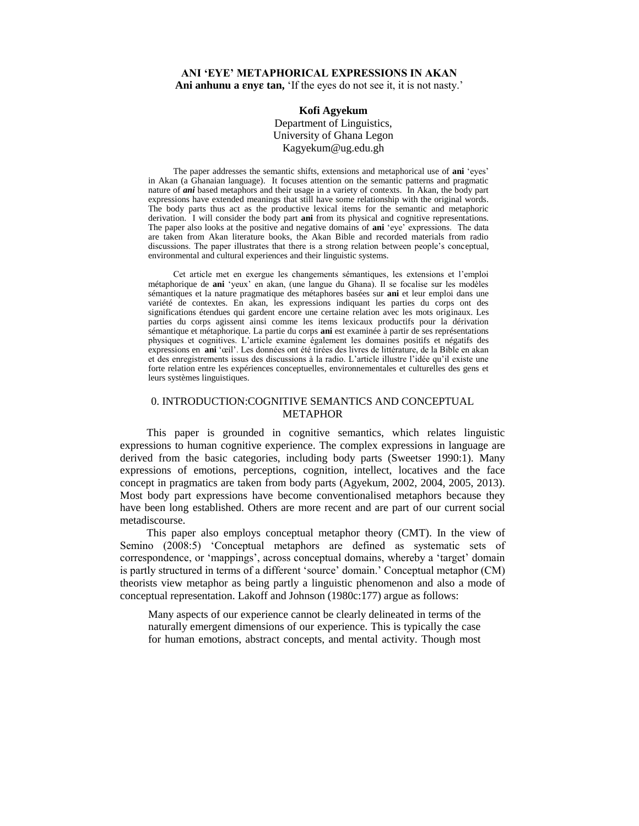## **ANI 'EYE' METAPHORICAL EXPRESSIONS IN AKAN** Ani anhunu a **enye** tan, 'If the eyes do not see it, it is not nasty.'

# **Kofi Agyekum**

Department of Linguistics, University of Ghana Legon Kagyekum@ug.edu.gh

The paper addresses the semantic shifts, extensions and metaphorical use of **ani** 'eyes' in Akan (a Ghanaian language). It focuses attention on the semantic patterns and pragmatic nature of *ani* based metaphors and their usage in a variety of contexts. In Akan, the body part expressions have extended meanings that still have some relationship with the original words. The body parts thus act as the productive lexical items for the semantic and metaphoric derivation. I will consider the body part **ani** from its physical and cognitive representations. The paper also looks at the positive and negative domains of **ani** 'eye' expressions. The data are taken from Akan literature books, the Akan Bible and recorded materials from radio discussions. The paper illustrates that there is a strong relation between people's conceptual, environmental and cultural experiences and their linguistic systems.

Cet article met en exergue les changements sémantiques, les extensions et l'emploi métaphorique de **ani** 'yeux' en akan, (une langue du Ghana). Il se focalise sur les modèles sémantiques et la nature pragmatique des métaphores basées sur **ani** et leur emploi dans une variété de contextes. En akan, les expressions indiquant les parties du corps ont des significations étendues qui gardent encore une certaine relation avec les mots originaux. Les parties du corps agissent ainsi comme les items lexicaux productifs pour la dérivation sémantique et métaphorique. La partie du corps **ani** est examinée à partir de ses représentations physiques et cognitives. L'article examine également les domaines positifs et négatifs des expressions en **ani** 'œil'. Les données ont été tirées des livres de littérature, de la Bible en akan et des enregistrements issus des discussions à la radio. L'article illustre l'idée qu'il existe une forte relation entre les expériences conceptuelles, environnementales et culturelles des gens et leurs systèmes linguistiques.

# 0. INTRODUCTION:COGNITIVE SEMANTICS AND CONCEPTUAL METAPHOR

This paper is grounded in cognitive semantics, which relates linguistic expressions to human cognitive experience. The complex expressions in language are derived from the basic categories, including body parts (Sweetser 1990:1). Many expressions of emotions, perceptions, cognition, intellect, locatives and the face concept in pragmatics are taken from body parts (Agyekum, 2002, 2004, 2005, 2013). Most body part expressions have become conventionalised metaphors because they have been long established. Others are more recent and are part of our current social metadiscourse.

This paper also employs conceptual metaphor theory (CMT). In the view of Semino (2008:5) 'Conceptual metaphors are defined as systematic sets of correspondence, or 'mappings', across conceptual domains, whereby a 'target' domain is partly structured in terms of a different 'source' domain.' Conceptual metaphor (CM) theorists view metaphor as being partly a linguistic phenomenon and also a mode of conceptual representation. Lakoff and Johnson (1980c:177) argue as follows:

Many aspects of our experience cannot be clearly delineated in terms of the naturally emergent dimensions of our experience. This is typically the case for human emotions, abstract concepts, and mental activity. Though most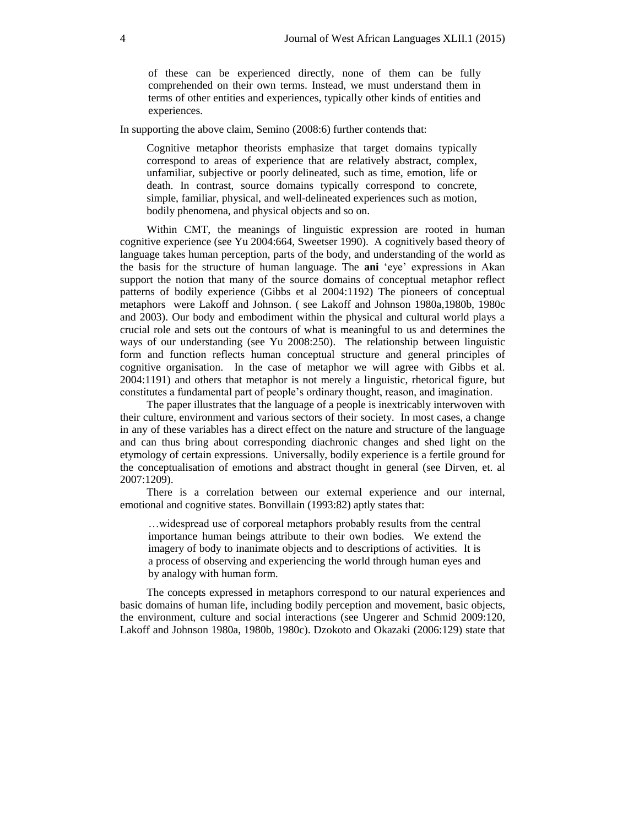of these can be experienced directly, none of them can be fully comprehended on their own terms. Instead, we must understand them in terms of other entities and experiences, typically other kinds of entities and experiences.

In supporting the above claim, Semino (2008:6) further contends that:

Cognitive metaphor theorists emphasize that target domains typically correspond to areas of experience that are relatively abstract, complex, unfamiliar, subjective or poorly delineated, such as time, emotion, life or death. In contrast, source domains typically correspond to concrete, simple, familiar, physical, and well-delineated experiences such as motion, bodily phenomena, and physical objects and so on.

Within CMT, the meanings of linguistic expression are rooted in human cognitive experience (see Yu 2004:664, Sweetser 1990). A cognitively based theory of language takes human perception, parts of the body, and understanding of the world as the basis for the structure of human language. The **ani** 'eye' expressions in Akan support the notion that many of the source domains of conceptual metaphor reflect patterns of bodily experience (Gibbs et al 2004:1192) The pioneers of conceptual metaphors were Lakoff and Johnson. ( see Lakoff and Johnson 1980a,1980b, 1980c and 2003). Our body and embodiment within the physical and cultural world plays a crucial role and sets out the contours of what is meaningful to us and determines the ways of our understanding (see Yu 2008:250). The relationship between linguistic form and function reflects human conceptual structure and general principles of cognitive organisation. In the case of metaphor we will agree with Gibbs et al. 2004:1191) and others that metaphor is not merely a linguistic, rhetorical figure, but constitutes a fundamental part of people's ordinary thought, reason, and imagination.

The paper illustrates that the language of a people is inextricably interwoven with their culture, environment and various sectors of their society. In most cases, a change in any of these variables has a direct effect on the nature and structure of the language and can thus bring about corresponding diachronic changes and shed light on the etymology of certain expressions. Universally, bodily experience is a fertile ground for the conceptualisation of emotions and abstract thought in general (see Dirven, et. al 2007:1209).

There is a correlation between our external experience and our internal, emotional and cognitive states. Bonvillain (1993:82) aptly states that:

…widespread use of corporeal metaphors probably results from the central importance human beings attribute to their own bodies. We extend the imagery of body to inanimate objects and to descriptions of activities. It is a process of observing and experiencing the world through human eyes and by analogy with human form.

The concepts expressed in metaphors correspond to our natural experiences and basic domains of human life, including bodily perception and movement, basic objects, the environment, culture and social interactions (see Ungerer and Schmid 2009:120, Lakoff and Johnson 1980a, 1980b, 1980c). Dzokoto and Okazaki (2006:129) state that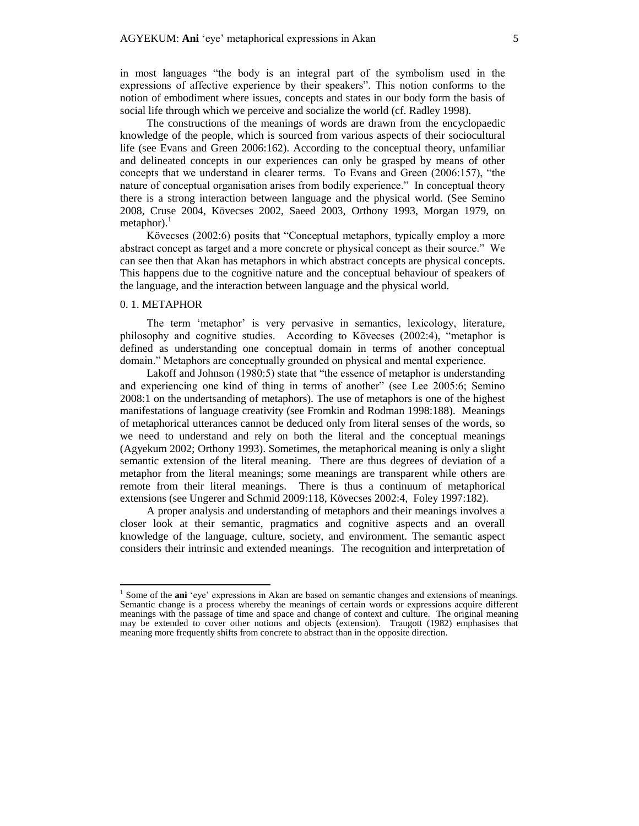in most languages "the body is an integral part of the symbolism used in the expressions of affective experience by their speakers". This notion conforms to the notion of embodiment where issues, concepts and states in our body form the basis of social life through which we perceive and socialize the world (cf. Radley 1998).

The constructions of the meanings of words are drawn from the encyclopaedic knowledge of the people, which is sourced from various aspects of their sociocultural life (see Evans and Green 2006:162). According to the conceptual theory, unfamiliar and delineated concepts in our experiences can only be grasped by means of other concepts that we understand in clearer terms. To Evans and Green (2006:157), "the nature of conceptual organisation arises from bodily experience." In conceptual theory there is a strong interaction between language and the physical world. (See Semino 2008, Cruse 2004, Kövecses 2002, Saeed 2003, Orthony 1993, Morgan 1979, on  $metaphor$ ).

Kövecses (2002:6) posits that "Conceptual metaphors, typically employ a more abstract concept as target and a more concrete or physical concept as their source." We can see then that Akan has metaphors in which abstract concepts are physical concepts. This happens due to the cognitive nature and the conceptual behaviour of speakers of the language, and the interaction between language and the physical world.

## 0. 1. METAPHOR

 $\overline{a}$ 

The term 'metaphor' is very pervasive in semantics, lexicology, literature, philosophy and cognitive studies. According to Kövecses (2002:4), "metaphor is defined as understanding one conceptual domain in terms of another conceptual domain." Metaphors are conceptually grounded on physical and mental experience.

Lakoff and Johnson (1980:5) state that "the essence of metaphor is understanding and experiencing one kind of thing in terms of another" (see Lee 2005:6; Semino 2008:1 on the undertsanding of metaphors). The use of metaphors is one of the highest manifestations of language creativity (see Fromkin and Rodman 1998:188). Meanings of metaphorical utterances cannot be deduced only from literal senses of the words, so we need to understand and rely on both the literal and the conceptual meanings (Agyekum 2002; Orthony 1993). Sometimes, the metaphorical meaning is only a slight semantic extension of the literal meaning. There are thus degrees of deviation of a metaphor from the literal meanings; some meanings are transparent while others are remote from their literal meanings. There is thus a continuum of metaphorical extensions (see Ungerer and Schmid 2009:118, Kövecses 2002:4, Foley 1997:182).

A proper analysis and understanding of metaphors and their meanings involves a closer look at their semantic, pragmatics and cognitive aspects and an overall knowledge of the language, culture, society, and environment. The semantic aspect considers their intrinsic and extended meanings. The recognition and interpretation of

<sup>&</sup>lt;sup>1</sup> Some of the **ani** 'eye' expressions in Akan are based on semantic changes and extensions of meanings. Semantic change is a process whereby the meanings of certain words or expressions acquire different meanings with the passage of time and space and change of context and culture. The original meaning may be extended to cover other notions and objects (extension). Traugott (1982) emphasises that meaning more frequently shifts from concrete to abstract than in the opposite direction.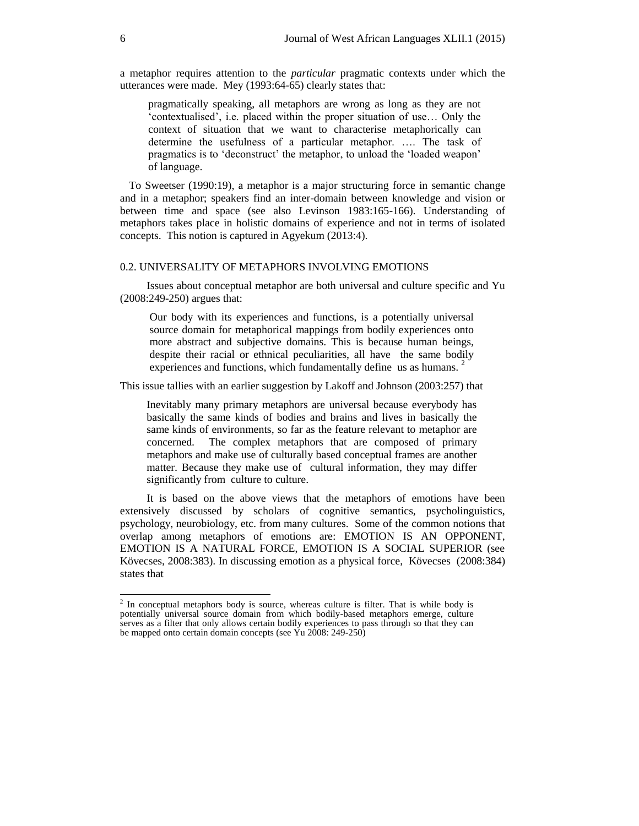a metaphor requires attention to the *particular* pragmatic contexts under which the utterances were made. Mey (1993:64-65) clearly states that:

pragmatically speaking, all metaphors are wrong as long as they are not 'contextualised', i.e. placed within the proper situation of use… Only the context of situation that we want to characterise metaphorically can determine the usefulness of a particular metaphor. …. The task of pragmatics is to 'deconstruct' the metaphor, to unload the 'loaded weapon' of language.

To Sweetser (1990:19), a metaphor is a major structuring force in semantic change and in a metaphor; speakers find an inter-domain between knowledge and vision or between time and space (see also Levinson 1983:165-166). Understanding of metaphors takes place in holistic domains of experience and not in terms of isolated concepts. This notion is captured in Agyekum (2013:4).

## 0.2. UNIVERSALITY OF METAPHORS INVOLVING EMOTIONS

Issues about conceptual metaphor are both universal and culture specific and Yu (2008:249-250) argues that:

Our body with its experiences and functions, is a potentially universal source domain for metaphorical mappings from bodily experiences onto more abstract and subjective domains. This is because human beings, despite their racial or ethnical peculiarities, all have the same bodily experiences and functions, which fundamentally define us as humans. <sup>2</sup>

This issue tallies with an earlier suggestion by Lakoff and Johnson (2003:257) that

Inevitably many primary metaphors are universal because everybody has basically the same kinds of bodies and brains and lives in basically the same kinds of environments, so far as the feature relevant to metaphor are concerned. The complex metaphors that are composed of primary metaphors and make use of culturally based conceptual frames are another matter. Because they make use of cultural information, they may differ significantly from culture to culture.

It is based on the above views that the metaphors of emotions have been extensively discussed by scholars of cognitive semantics, psycholinguistics, psychology, neurobiology, etc. from many cultures. Some of the common notions that overlap among metaphors of emotions are: EMOTION IS AN OPPONENT, EMOTION IS A NATURAL FORCE, EMOTION IS A SOCIAL SUPERIOR (see Kövecses, 2008:383). In discussing emotion as a physical force, Kövecses (2008:384) states that

 $\overline{a}$ 

 $2$  In conceptual metaphors body is source, whereas culture is filter. That is while body is potentially universal source domain from which bodily-based metaphors emerge, culture serves as a filter that only allows certain bodily experiences to pass through so that they can be mapped onto certain domain concepts (see Yu 2008: 249-250)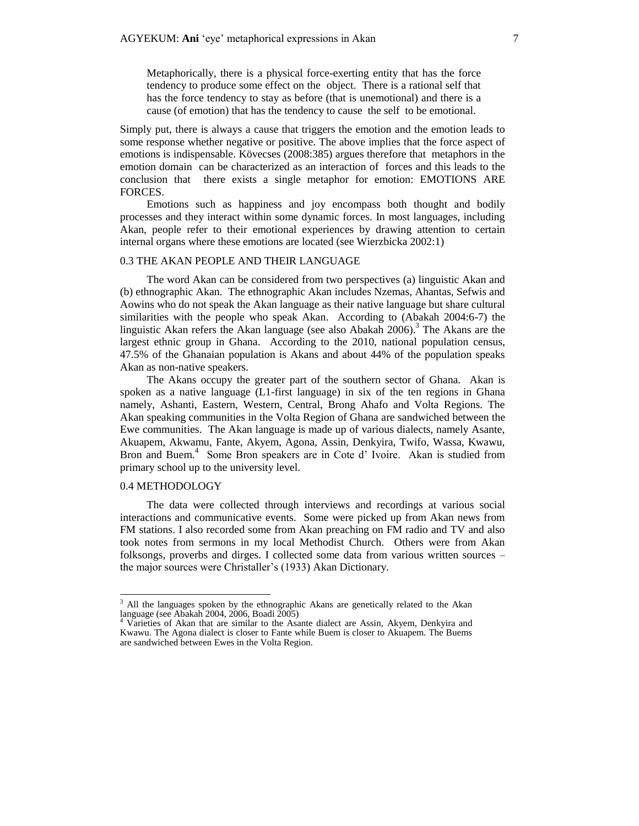Metaphorically, there is a physical force-exerting entity that has the force tendency to produce some effect on the object. There is a rational self that has the force tendency to stay as before (that is unemotional) and there is a cause (of emotion) that has the tendency to cause the self to be emotional.

Simply put, there is always a cause that triggers the emotion and the emotion leads to some response whether negative or positive. The above implies that the force aspect of emotions is indispensable. Kövecses (2008:385) argues therefore that metaphors in the emotion domain can be characterized as an interaction of forces and this leads to the conclusion that there exists a single metaphor for emotion: EMOTIONS ARE FORCES.

Emotions such as happiness and joy encompass both thought and bodily processes and they interact within some dynamic forces. In most languages, including Akan, people refer to their emotional experiences by drawing attention to certain internal organs where these emotions are located (see Wierzbicka 2002:1)

## 0.3 THE AKAN PEOPLE AND THEIR LANGUAGE

The word Akan can be considered from two perspectives (a) linguistic Akan and (b) ethnographic Akan. The ethnographic Akan includes Nzemas, Ahantas, Sefwis and Aowins who do not speak the Akan language as their native language but share cultural similarities with the people who speak Akan. According to (Abakah 2004:6-7) the linguistic Akan refers the Akan language (see also Abakah 2006).<sup>3</sup> The Akans are the largest ethnic group in Ghana. According to the 2010, national population census, 47.5% of the Ghanaian population is Akans and about 44% of the population speaks Akan as non-native speakers.

The Akans occupy the greater part of the southern sector of Ghana. Akan is spoken as a native language (L1-first language) in six of the ten regions in Ghana namely, Ashanti, Eastern, Western, Central, Brong Ahafo and Volta Regions. The Akan speaking communities in the Volta Region of Ghana are sandwiched between the Ewe communities. The Akan language is made up of various dialects, namely Asante, Akuapem, Akwamu, Fante, Akyem, Agona, Assin, Denkyira, Twifo, Wassa, Kwawu, Bron and Buem.<sup>4</sup> Some Bron speakers are in Cote d' Ivoire. Akan is studied from primary school up to the university level.

### 0.4 METHODOLOGY

 $\overline{a}$ 

The data were collected through interviews and recordings at various social interactions and communicative events. Some were picked up from Akan news from FM stations. I also recorded some from Akan preaching on FM radio and TV and also took notes from sermons in my local Methodist Church. Others were from Akan folksongs, proverbs and dirges. I collected some data from various written sources – the major sources were Christaller's (1933) Akan Dictionary.

<sup>&</sup>lt;sup>3</sup> All the languages spoken by the ethnographic Akans are genetically related to the Akan language (see Abakah 2004, 2006, Boadi 2005)

Varieties of Akan that are similar to the Asante dialect are Assin, Akyem, Denkyira and Kwawu. The Agona dialect is closer to Fante while Buem is closer to Akuapem. The Buems are sandwiched between Ewes in the Volta Region.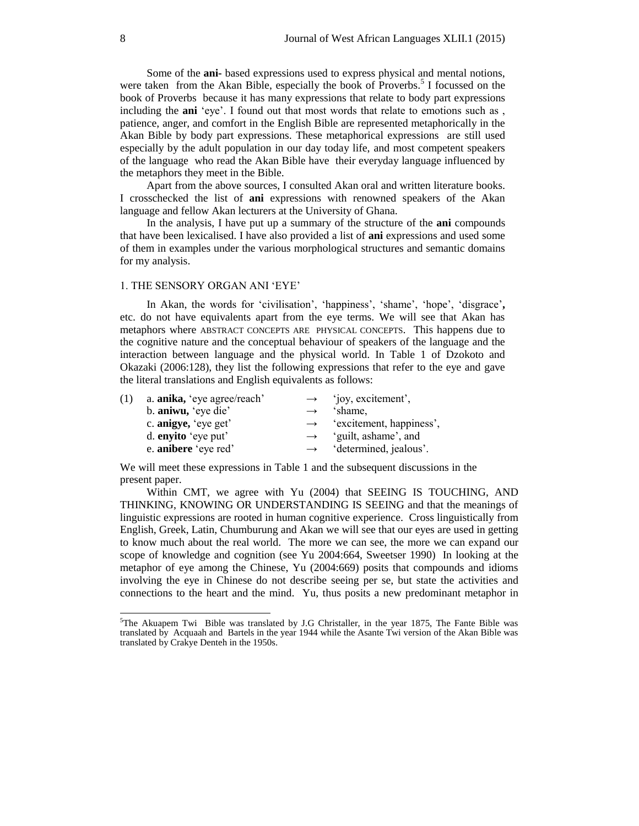Some of the **ani-** based expressions used to express physical and mental notions, were taken from the Akan Bible, especially the book of Proverbs.<sup>5</sup> I focussed on the book of Proverbs because it has many expressions that relate to body part expressions including the **ani** 'eye'. I found out that most words that relate to emotions such as , patience, anger, and comfort in the English Bible are represented metaphorically in the Akan Bible by body part expressions. These metaphorical expressions are still used especially by the adult population in our day today life, and most competent speakers of the language who read the Akan Bible have their everyday language influenced by the metaphors they meet in the Bible.

Apart from the above sources, I consulted Akan oral and written literature books. I crosschecked the list of **ani** expressions with renowned speakers of the Akan language and fellow Akan lecturers at the University of Ghana.

In the analysis, I have put up a summary of the structure of the **ani** compounds that have been lexicalised. I have also provided a list of **ani** expressions and used some of them in examples under the various morphological structures and semantic domains for my analysis.

## 1. THE SENSORY ORGAN ANI 'EYE'

In Akan, the words for 'civilisation', 'happiness', 'shame', 'hope', 'disgrace'**,**  etc. do not have equivalents apart from the eye terms. We will see that Akan has metaphors where ABSTRACT CONCEPTS ARE PHYSICAL CONCEPTS. This happens due to the cognitive nature and the conceptual behaviour of speakers of the language and the interaction between language and the physical world. In Table 1 of Dzokoto and Okazaki (2006:128), they list the following expressions that refer to the eye and gave the literal translations and English equivalents as follows:

| a. <b>anika</b> , 'eye agree/reach' | $\rightarrow$ | 'joy, excitement',       |
|-------------------------------------|---------------|--------------------------|
| b. aniwu, 'eye die'                 | $\rightarrow$ | 'shame.                  |
| c. anigye, 'eye get'                | $\rightarrow$ | 'excitement, happiness', |
| d. enyito 'eye put'                 | $\rightarrow$ | 'guilt, ashame', and     |
| e. anibere 'eye red'                | $\rightarrow$ | 'determined, jealous'.   |
|                                     |               |                          |

We will meet these expressions in Table 1 and the subsequent discussions in the present paper.

Within CMT, we agree with Yu (2004) that SEEING IS TOUCHING, AND THINKING, KNOWING OR UNDERSTANDING IS SEEING and that the meanings of linguistic expressions are rooted in human cognitive experience. Cross linguistically from English, Greek, Latin, Chumburung and Akan we will see that our eyes are used in getting to know much about the real world. The more we can see, the more we can expand our scope of knowledge and cognition (see Yu 2004:664, Sweetser 1990) In looking at the metaphor of eye among the Chinese, Yu (2004:669) posits that compounds and idioms involving the eye in Chinese do not describe seeing per se, but state the activities and connections to the heart and the mind. Yu, thus posits a new predominant metaphor in

 $\overline{a}$ 

 $5$ The Akuapem Twi Bible was translated by J.G Christaller, in the year 1875, The Fante Bible was translated by Acquaah and Bartels in the year 1944 while the Asante Twi version of the Akan Bible was translated by Crakye Denteh in the 1950s.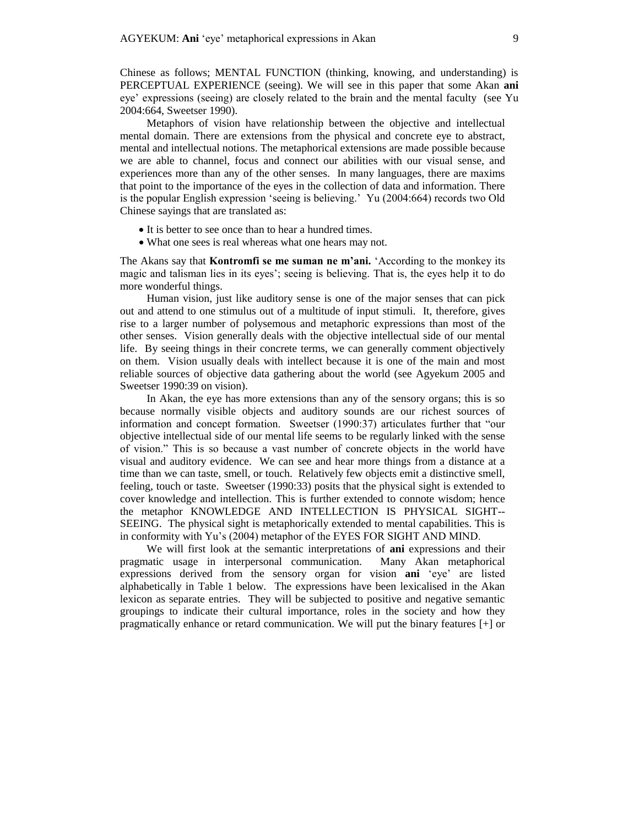Chinese as follows; MENTAL FUNCTION (thinking, knowing, and understanding) is PERCEPTUAL EXPERIENCE (seeing). We will see in this paper that some Akan **ani**  eye' expressions (seeing) are closely related to the brain and the mental faculty (see Yu 2004:664, Sweetser 1990).

Metaphors of vision have relationship between the objective and intellectual mental domain. There are extensions from the physical and concrete eye to abstract, mental and intellectual notions. The metaphorical extensions are made possible because we are able to channel, focus and connect our abilities with our visual sense, and experiences more than any of the other senses. In many languages, there are maxims that point to the importance of the eyes in the collection of data and information. There is the popular English expression 'seeing is believing.' Yu (2004:664) records two Old Chinese sayings that are translated as:

- It is better to see once than to hear a hundred times.
- What one sees is real whereas what one hears may not.

The Akans say that **Kontromfi se me suman ne m'ani.** 'According to the monkey its magic and talisman lies in its eyes'; seeing is believing. That is, the eyes help it to do more wonderful things.

Human vision, just like auditory sense is one of the major senses that can pick out and attend to one stimulus out of a multitude of input stimuli. It, therefore, gives rise to a larger number of polysemous and metaphoric expressions than most of the other senses. Vision generally deals with the objective intellectual side of our mental life. By seeing things in their concrete terms, we can generally comment objectively on them. Vision usually deals with intellect because it is one of the main and most reliable sources of objective data gathering about the world (see Agyekum 2005 and Sweetser 1990:39 on vision).

In Akan, the eye has more extensions than any of the sensory organs; this is so because normally visible objects and auditory sounds are our richest sources of information and concept formation. Sweetser (1990:37) articulates further that "our objective intellectual side of our mental life seems to be regularly linked with the sense of vision." This is so because a vast number of concrete objects in the world have visual and auditory evidence. We can see and hear more things from a distance at a time than we can taste, smell, or touch. Relatively few objects emit a distinctive smell, feeling, touch or taste. Sweetser (1990:33) posits that the physical sight is extended to cover knowledge and intellection. This is further extended to connote wisdom; hence the metaphor KNOWLEDGE AND INTELLECTION IS PHYSICAL SIGHT-- SEEING. The physical sight is metaphorically extended to mental capabilities. This is in conformity with Yu's (2004) metaphor of the EYES FOR SIGHT AND MIND.

We will first look at the semantic interpretations of **ani** expressions and their pragmatic usage in interpersonal communication. Many Akan metaphorical expressions derived from the sensory organ for vision **ani** 'eye' are listed alphabetically in Table 1 below. The expressions have been lexicalised in the Akan lexicon as separate entries. They will be subjected to positive and negative semantic groupings to indicate their cultural importance, roles in the society and how they pragmatically enhance or retard communication. We will put the binary features [+] or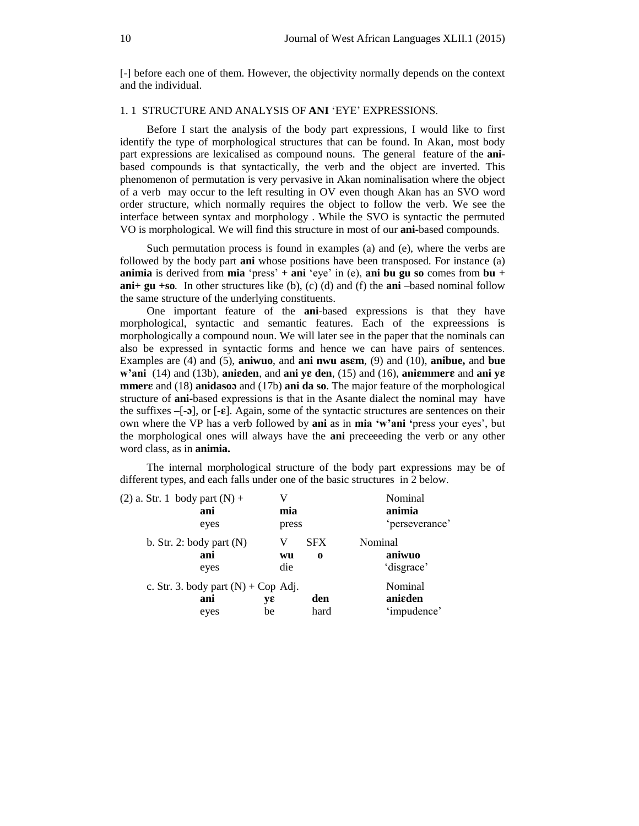[-] before each one of them. However, the objectivity normally depends on the context and the individual.

## 1. 1 STRUCTURE AND ANALYSIS OF **ANI** 'EYE' EXPRESSIONS.

Before I start the analysis of the body part expressions, I would like to first identify the type of morphological structures that can be found. In Akan, most body part expressions are lexicalised as compound nouns. The general feature of the **ani**based compounds is that syntactically, the verb and the object are inverted. This phenomenon of permutation is very pervasive in Akan nominalisation where the object of a verb may occur to the left resulting in OV even though Akan has an SVO word order structure, which normally requires the object to follow the verb. We see the interface between syntax and morphology . While the SVO is syntactic the permuted VO is morphological. We will find this structure in most of our **ani-**based compounds.

Such permutation process is found in examples (a) and (e), where the verbs are followed by the body part **ani** whose positions have been transposed. For instance (a) **animia** is derived from **mia** 'press' **+ ani** 'eye' in (e), **ani bu gu so** comes from **bu + ani+ gu +so**. In other structures like (b), (c) (d) and (f) the **ani** –based nominal follow the same structure of the underlying constituents.

One important feature of the **ani**-based expressions is that they have morphological, syntactic and semantic features. Each of the expreessions is morphologically a compound noun. We will later see in the paper that the nominals can also be expressed in syntactic forms and hence we can have pairs of sentences. Examples are (4) and (5), **aniwuo**, and **ani nwu asm**, (9) and (10), **anibue,** and **bue w'ani**  $(14)$  and  $(13b)$ , **anieden**, and **ani ye den**,  $(15)$  and  $(16)$ , **aniemmers** and **ani ye mmer** and (18) **anidaso** and (17b) **ani da so**. The major feature of the morphological structure of **ani-**based expressions is that in the Asante dialect the nominal may have the suffixes  $-[-2]$ , or  $[-\varepsilon]$ . Again, some of the syntactic structures are sentences on their own where the VP has a verb followed by **ani** as in **mia 'w'ani '**press your eyes', but the morphological ones will always have the **ani** preceeeding the verb or any other word class, as in **animia.**

The internal morphological structure of the body part expressions may be of different types, and each falls under one of the basic structures in 2 below.

| $(2)$ a. Str. 1 body part $(N)$ +<br>ani             | V<br>mia       |                        | Nominal<br>animia                 |
|------------------------------------------------------|----------------|------------------------|-----------------------------------|
| eyes                                                 | press          |                        | 'perseverance'                    |
| b. Str. 2: body part $(N)$<br>ani<br>eyes            | v<br>wu<br>die | <b>SFX</b><br>$\bf{0}$ | Nominal<br>aniwuo<br>'disgrace'   |
| c. Str. 3. body part $(N)$ + Cop Adj.<br>ani<br>eyes | yε<br>be       | den<br>hard            | Nominal<br>anieden<br>'impudence' |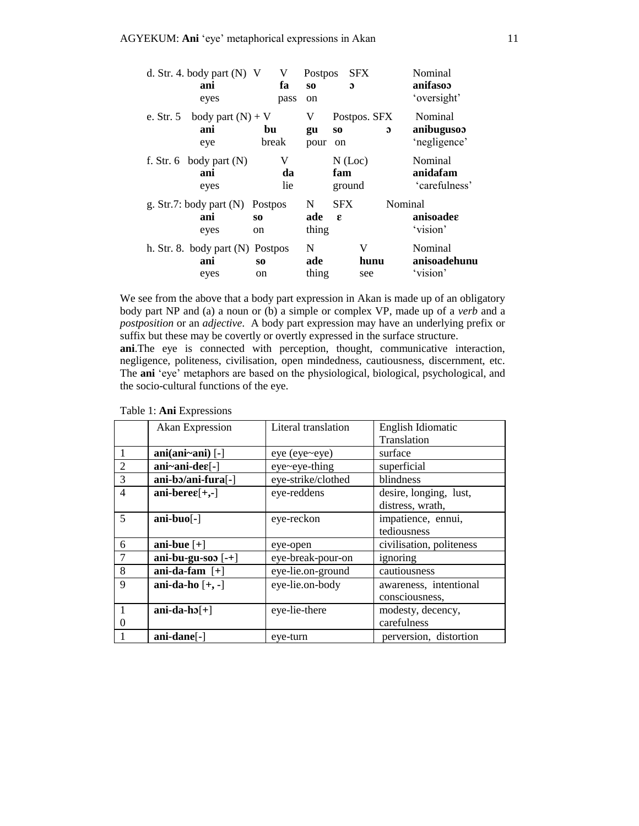|           | d. Str. 4. body part $(N)$ V<br>ani<br>eyes       | V<br>fa<br>pass                 | <b>Postpos</b><br>SO.<br>on | <b>SFX</b><br>$\mathbf{a}$           |              | Nominal<br>anifasoo<br>'oversight'    |
|-----------|---------------------------------------------------|---------------------------------|-----------------------------|--------------------------------------|--------------|---------------------------------------|
| e. Str. 5 | body part $(N) + V$<br>ani<br>eye                 | bu<br>break                     | V<br>gu<br>pour             | Postpos. SFX<br>S <sub>O</sub><br>on | $\mathbf{D}$ | Nominal<br>anibugusoo<br>'negligence' |
|           | f. Str. 6 body part $(N)$<br>ani<br>eyes          | V<br>da<br>lie                  |                             | $N$ (Loc)<br>fam<br>ground           |              | Nominal<br>anidafam<br>'carefulness'  |
|           | g. Str.7: body part $(N)$<br>ani<br>eyes          | Postpos<br>S <sub>O</sub><br>on | N<br>ade<br>thing           | <b>SFX</b><br>E                      | Nominal      | anisoadee<br>'vision'                 |
|           | h. Str. 8. body part $(N)$ Postpos<br>ani<br>eyes | S <sub>0</sub><br>on            | N<br>ade<br>thing           | V<br>see                             | hunu         | Nominal<br>anisoadehunu<br>'vision'   |

We see from the above that a body part expression in Akan is made up of an obligatory body part NP and (a) a noun or (b) a simple or complex VP, made up of a *verb* and a *postposition* or an *adjective*. A body part expression may have an underlying prefix or suffix but these may be covertly or overtly expressed in the surface structure. **ani**.The eye is connected with perception, thought, communicative interaction, negligence, politeness, civilisation, open mindedness, cautiousness, discernment, etc. The **ani** 'eye' metaphors are based on the physiological, biological, psychological, and the socio-cultural functions of the eye.

|                | <b>Akan Expression</b>       | Literal translation | English Idiomatic        |
|----------------|------------------------------|---------------------|--------------------------|
|                |                              |                     | Translation              |
|                | $ani(ani~ani)$ [-]           | eye (eye~eye)       | surface                  |
| $\overline{2}$ | ani~ani-de $\varepsilon$ [-] | eye~eye-thing       | superficial              |
| 3              | ani-bə/ani-fura[-]           | eye-strike/clothed  | blindness                |
| $\overline{4}$ | ani-bere $\varepsilon$ [+,-] | eye-reddens         | desire, longing, lust,   |
|                |                              |                     | distress, wrath,         |
| 5              | $ani-buo[-]$                 | eye-reckon          | impatience, ennui,       |
|                |                              |                     | tediousness              |
| 6              | ani-bue $[+]$                | eye-open            | civilisation, politeness |
| 7              | ani-bu-gu-soo $[-+]$         | eye-break-pour-on   | ignoring                 |
| 8              | ani-da-fam $[+]$             | eye-lie.on-ground   | cautiousness             |
| 9              | ani-da-ho $[+, -]$           | eye-lie.on-body     | awareness, intentional   |
|                |                              |                     | consciousness,           |
| 1              | ani-da-h $5[+]$              | eye-lie-there       | modesty, decency,        |
| $\theta$       |                              |                     | carefulness              |
|                | ani-dane[-]                  | eye-turn            | perversion, distortion   |

| Table 1: Ani Expressions |
|--------------------------|
|                          |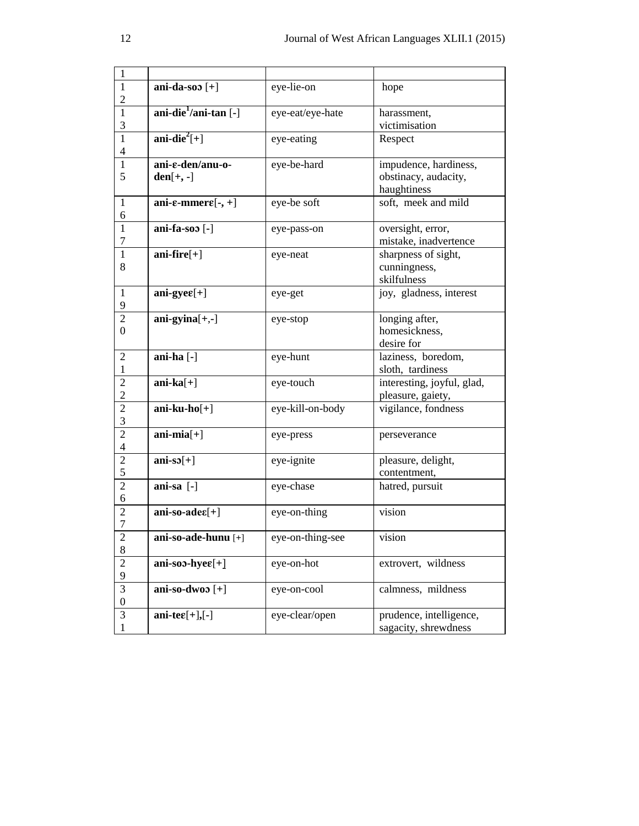| 1                |                                               |                  |                            |
|------------------|-----------------------------------------------|------------------|----------------------------|
| 1                | ani-da-soo $[+]$                              | eye-lie-on       | hope                       |
| $\overline{2}$   |                                               |                  |                            |
| 1                | ani-die <sup>1</sup> /ani-tan [-]             | eye-eat/eye-hate | harassment,                |
| 3                |                                               |                  | victimisation              |
| $\mathbf{1}$     | ani-die <sup>2</sup> $[+]$                    | eye-eating       | Respect                    |
| $\overline{4}$   |                                               |                  |                            |
| 1                | ani-e-den/anu-o-                              | eye-be-hard      | impudence, hardiness,      |
| 5                | $den[+, -]$                                   |                  | obstinacy, audacity,       |
|                  |                                               |                  | haughtiness                |
| 1                | ani- $\varepsilon$ -mmer $\varepsilon$ [-, +] | eye-be soft      | soft, meek and mild        |
| 6                |                                               |                  |                            |
| $\mathbf{1}$     | ani-fa-soo [-]                                | eye-pass-on      | oversight, error,          |
| 7                |                                               |                  | mistake, inadvertence      |
| 1                | ani-fire $[+]$                                | eye-neat         | sharpness of sight,        |
| 8                |                                               |                  | cunningness,               |
|                  |                                               |                  | skilfulness                |
| 1                | ani-gye $\varepsilon[+]$                      | eye-get          | joy, gladness, interest    |
| 9                |                                               |                  |                            |
| 2                | $ani-gyina[+,-]$                              | eye-stop         | longing after,             |
| $\theta$         |                                               |                  | homesickness,              |
|                  |                                               |                  | desire for                 |
| 2                | ani-ha [-]                                    | eye-hunt         | laziness, boredom,         |
| 1                |                                               |                  | sloth, tardiness           |
| $\overline{c}$   | $ani-ka[+]$                                   | eye-touch        | interesting, joyful, glad, |
| $\overline{2}$   |                                               |                  | pleasure, gaiety,          |
| $\overline{2}$   | $ani-ku-ho[+]$                                | eye-kill-on-body | vigilance, fondness        |
| 3                |                                               |                  |                            |
| $\overline{2}$   | $ani-mia[+]$                                  | eye-press        | perseverance               |
| $\overline{4}$   |                                               |                  |                            |
| $\overline{2}$   | $ani-s5[+]$                                   | eye-ignite       | pleasure, delight,         |
| 5                |                                               |                  | contentment,               |
| $\overline{2}$   | ani-sa [-]                                    | eye-chase        | hatred, pursuit            |
| 6                |                                               |                  |                            |
| 2                | $ani-so-ade\varepsilon[+]$                    | eye-on-thing     | vision                     |
| 7                |                                               |                  |                            |
| $\mathbf{2}$     | ani-so-ade-hunu [+]                           | eye-on-thing-see | vision                     |
| $\,8\,$          |                                               |                  |                            |
| $\sqrt{2}$       | ani-soo-hye $\varepsilon$ [+]                 | eye-on-hot       | extrovert, wildness        |
| 9                |                                               |                  |                            |
| 3                | ani-so-dwoo $[+]$                             | eye-on-cool      | calmness, mildness         |
| $\boldsymbol{0}$ |                                               |                  |                            |
| $\mathfrak{Z}$   | ani-te $\varepsilon[+]$ ,[-]                  | eye-clear/open   | prudence, intelligence,    |
| $\mathbf{1}$     |                                               |                  | sagacity, shrewdness       |
|                  |                                               |                  |                            |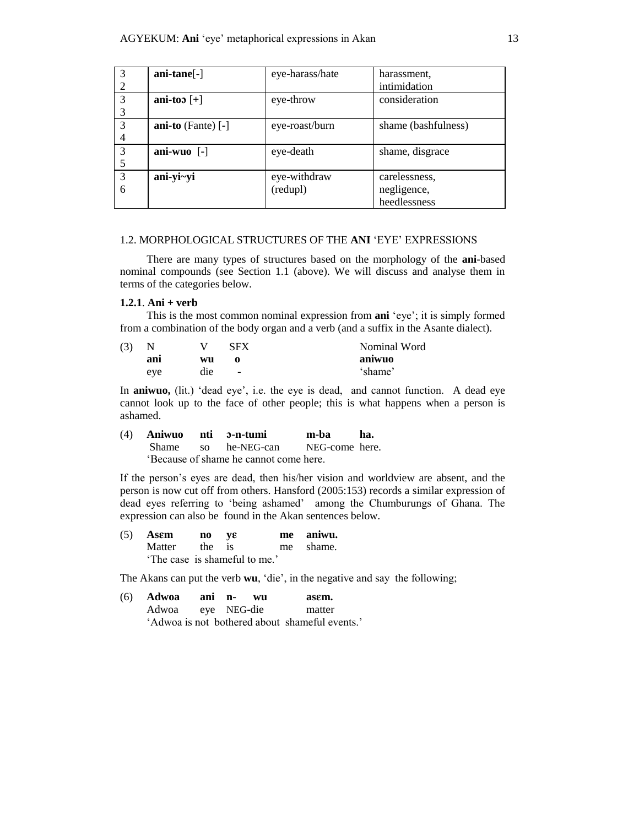| 3              | ani-tane <sup>[-]</sup>   | eye-harass/hate | harassment.         |
|----------------|---------------------------|-----------------|---------------------|
| $\overline{2}$ |                           |                 | intimidation        |
| 3              | ani-too $[+]$             | eye-throw       | consideration       |
| 3              |                           |                 |                     |
| 3              | ani-to $(Fante)$ [-]      | eye-roast/burn  | shame (bashfulness) |
| 4              |                           |                 |                     |
| 3              | ani-wuo $\lceil - \rceil$ | eye-death       | shame, disgrace     |
| 5              |                           |                 |                     |
| 3              | ani-yi~yi                 | eye-withdraw    | carelessness.       |
| 6              |                           | (redupl)        | negligence,         |
|                |                           |                 | heedlessness        |

# 1.2. MORPHOLOGICAL STRUCTURES OF THE **ANI** 'EYE' EXPRESSIONS

There are many types of structures based on the morphology of the **ani**-based nominal compounds (see Section 1.1 (above). We will discuss and analyse them in terms of the categories below.

## **1.2.1**. **Ani + verb**

This is the most common nominal expression from **ani** 'eye'; it is simply formed from a combination of the body organ and a verb (and a suffix in the Asante dialect).

| (3) |     |     | <b>SFX</b>               | Nominal Word |
|-----|-----|-----|--------------------------|--------------|
|     | ani | wu  |                          | aniwuo       |
|     | eye | die | $\overline{\phantom{a}}$ | 'shame'      |

In **aniwuo,** (lit.) 'dead eye', i.e. the eye is dead, and cannot function. A dead eye cannot look up to the face of other people; this is what happens when a person is ashamed.

(4) **Aniwuo nti -n-tumi m-ba ha.** Shame so he-NEG-can NEG-come here. 'Because of shame he cannot come here.

If the person's eyes are dead, then his/her vision and worldview are absent, and the person is now cut off from others. Hansford (2005:153) records a similar expression of dead eyes referring to 'being ashamed' among the Chumburungs of Ghana. The expression can also be found in the Akan sentences below.

| $(5)$ Asem                    | no ve |  | me aniwu. |
|-------------------------------|-------|--|-----------|
| Matter the is                 |       |  | me shame. |
| 'The case is shameful to me.' |       |  |           |

The Akans can put the verb **wu**, 'die', in the negative and say the following;

| (6) <b>Adwoa</b> ani n- |  | WII | asem.                                          |
|-------------------------|--|-----|------------------------------------------------|
| Adwoa eye NEG-die       |  |     | matter                                         |
|                         |  |     | 'Adwoa is not bothered about shameful events.' |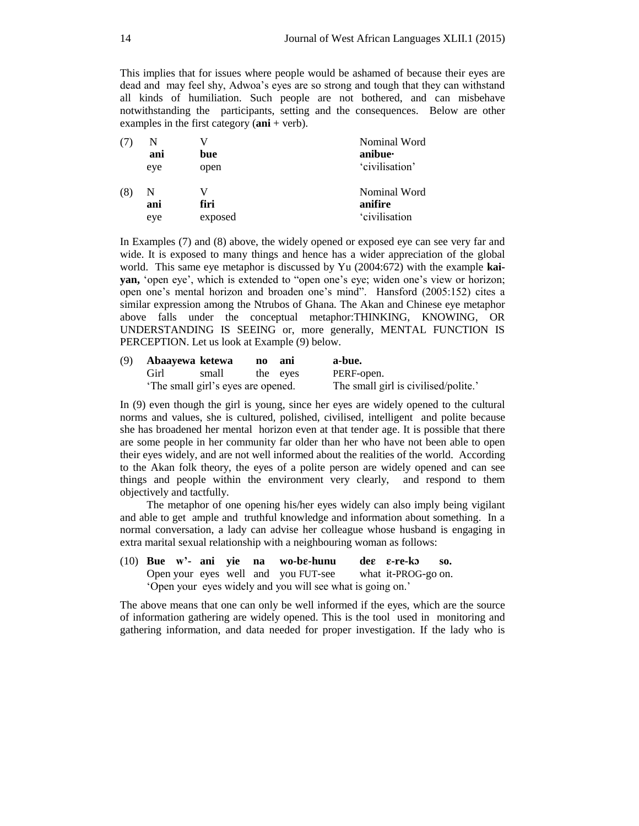This implies that for issues where people would be ashamed of because their eyes are dead and may feel shy, Adwoa's eyes are so strong and tough that they can withstand all kinds of humiliation. Such people are not bothered, and can misbehave notwithstanding the participants, setting and the consequences. Below are other examples in the first category (**ani** + verb).

| (7) |          |         | Nominal Word            |
|-----|----------|---------|-------------------------|
|     | ani      | bue     | anibue·                 |
|     | eye      | open    | 'civilisation'          |
| (8) | N<br>ani | firi    | Nominal Word<br>anifire |
|     |          |         |                         |
|     | eye      | exposed | 'civilisation           |

In Examples (7) and (8) above, the widely opened or exposed eye can see very far and wide. It is exposed to many things and hence has a wider appreciation of the global world. This same eye metaphor is discussed by Yu (2004:672) with the example **kaiyan,** 'open eye', which is extended to "open one's eye; widen one's view or horizon; open one's mental horizon and broaden one's mind". Hansford (2005:152) cites a similar expression among the Ntrubos of Ghana. The Akan and Chinese eye metaphor above falls under the conceptual metaphor:THINKING, KNOWING, OR UNDERSTANDING IS SEEING or, more generally, MENTAL FUNCTION IS PERCEPTION. Let us look at Example (9) below.

| (9) | Abaayewa ketewa |                                    | no | anı      | a-bue.                               |
|-----|-----------------|------------------------------------|----|----------|--------------------------------------|
|     | Girl            | small                              |    | the eves | PERF-open.                           |
|     |                 | 'The small girl's eyes are opened. |    |          | The small girl is civilised/polite.' |

In (9) even though the girl is young, since her eyes are widely opened to the cultural norms and values, she is cultured, polished, civilised, intelligent and polite because she has broadened her mental horizon even at that tender age. It is possible that there are some people in her community far older than her who have not been able to open their eyes widely, and are not well informed about the realities of the world. According to the Akan folk theory, the eyes of a polite person are widely opened and can see things and people within the environment very clearly, and respond to them objectively and tactfully.

The metaphor of one opening his/her eyes widely can also imply being vigilant and able to get ample and truthful knowledge and information about something. In a normal conversation, a lady can advise her colleague whose husband is engaging in extra marital sexual relationship with a neighbouring woman as follows:

(10) **Bue w'- ani yie na wo-b-hunu de -re-k so.** Open your eyes well and you FUT-see what it-PROG-go on. 'Open your eyes widely and you will see what is going on.'

The above means that one can only be well informed if the eyes, which are the source of information gathering are widely opened. This is the tool used in monitoring and gathering information, and data needed for proper investigation. If the lady who is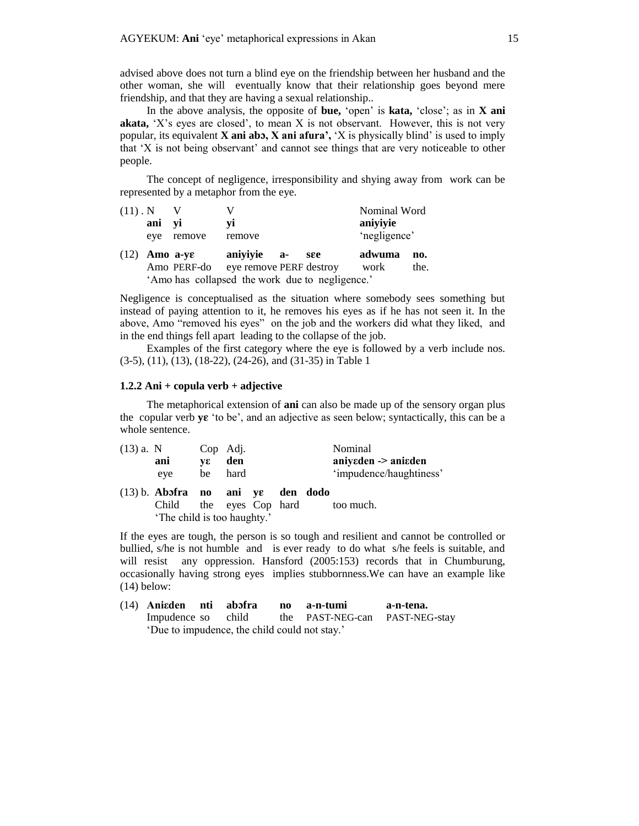advised above does not turn a blind eye on the friendship between her husband and the other woman, she will eventually know that their relationship goes beyond mere friendship, and that they are having a sexual relationship..

In the above analysis, the opposite of **bue,** 'open' is **kata,** 'close'; as in **X ani akata,** 'X's eyes are closed', to mean X is not observant. However, this is not very popular, its equivalent **X ani ab, X ani afura',** 'X is physically blind' is used to imply that 'X is not being observant' and cannot see things that are very noticeable to other people.

The concept of negligence, irresponsibility and shying away from work can be represented by a metaphor from the eye.

| $(11)$ . N |                                                 |             |                         |     | Nominal Word |      |
|------------|-------------------------------------------------|-------------|-------------------------|-----|--------------|------|
|            | ani yi                                          |             | vi                      |     | aniyiyie     |      |
|            | eve                                             | remove      | remove                  |     | 'negligence' |      |
| (12)       | Amo a-ye                                        |             | anivivie a-             | see | adwuma       | no.  |
|            |                                                 | Amo PERF-do | eye remove PERF destroy |     | work         | the. |
|            | 'Amo has collapsed the work due to negligence.' |             |                         |     |              |      |

Negligence is conceptualised as the situation where somebody sees something but instead of paying attention to it, he removes his eyes as if he has not seen it. In the above, Amo "removed his eyes" on the job and the workers did what they liked, and in the end things fell apart leading to the collapse of the job.

Examples of the first category where the eye is followed by a verb include nos. (3-5), (11), (13), (18-22), (24-26), and (31-35) in Table 1

## **1.2.2 Ani + copula verb + adjective**

The metaphorical extension of **ani** can also be made up of the sensory organ plus the copular verb **y** 'to be', and an adjective as seen below; syntactically, this can be a whole sentence.

| $(13)$ a. N |                                     | Cop Adj. |                   |  | Nominal                 |
|-------------|-------------------------------------|----------|-------------------|--|-------------------------|
|             | ani                                 | VE       | den               |  | aniyeden -> aniaden     |
|             | eye                                 | be       | hard              |  | 'impudence/haughtiness' |
|             | $(13)$ b. Absfra no ani ye den dodo |          |                   |  |                         |
|             | Child                               |          | the eyes Cop hard |  | too much.               |
|             | 'The child is too haughty.'         |          |                   |  |                         |

If the eyes are tough, the person is so tough and resilient and cannot be controlled or bullied, s/he is not humble and is ever ready to do what s/he feels is suitable, and will resist any oppression. Hansford (2005:153) records that in Chumburung, occasionally having strong eyes implies stubbornness.We can have an example like (14) below:

| (14) Aniaden nti abofra                       |  | no a-n-tumi                                       | a-n-tena. |
|-----------------------------------------------|--|---------------------------------------------------|-----------|
|                                               |  | Impudence so child the PAST-NEG-can PAST-NEG-stay |           |
| 'Due to impudence, the child could not stay.' |  |                                                   |           |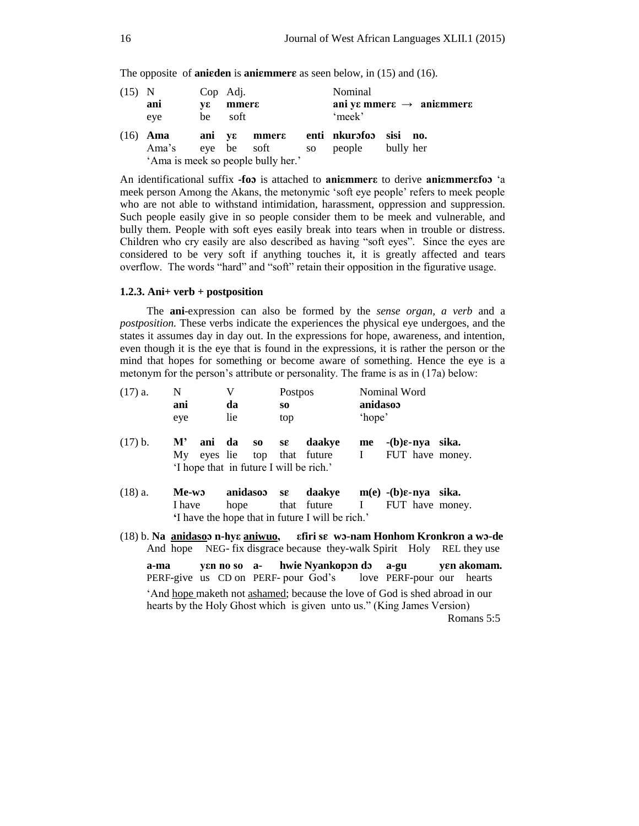The opposite of **aniarchelic is aniammers** as seen below, in (15) and (16).

| $(15)$ N | ani<br>eye          | vε<br>be | Cop Adj.<br>mmers<br>soft |                                                         | Nominal<br>'meek'                                       | ani ye mmere $\rightarrow$ aniemmere |
|----------|---------------------|----------|---------------------------|---------------------------------------------------------|---------------------------------------------------------|--------------------------------------|
|          | $(16)$ Ama<br>Ama's |          |                           | eye be soft<br>SO<br>'Ama is meek so people bully her.' | ani ye mmere enti nkurofoo sisi no.<br>people bully her |                                      |

An identificational suffix **-fo** is attached to **aniεmmerε** to derive **aniεmmerεfo** 'a meek person Among the Akans, the metonymic 'soft eye people' refers to meek people who are not able to withstand intimidation, harassment, oppression and suppression. Such people easily give in so people consider them to be meek and vulnerable, and bully them. People with soft eyes easily break into tears when in trouble or distress. Children who cry easily are also described as having "soft eyes". Since the eyes are considered to be very soft if anything touches it, it is greatly affected and tears overflow. The words "hard" and "soft" retain their opposition in the figurative usage.

## **1.2.3. Ani+ verb + postposition**

The **ani**-expression can also be formed by the *sense organ, a verb* and a *postposition.* These verbs indicate the experiences the physical eye undergoes, and the states it assumes day in day out. In the expressions for hope, awareness, and intention, even though it is the eye that is found in the expressions, it is rather the person or the mind that hopes for something or become aware of something. Hence the eye is a metonym for the person's attribute or personality. The frame is as in (17a) below:

| $(17)$ a. |      | N<br>ani<br>eye          |        | V<br>da<br>lie |                  | Postpos<br>SO.<br>top |                                                                                                                                                       | anidasoo<br>'hope' | Nominal Word                                 |  |            |
|-----------|------|--------------------------|--------|----------------|------------------|-----------------------|-------------------------------------------------------------------------------------------------------------------------------------------------------|--------------------|----------------------------------------------|--|------------|
| $(17)$ b. |      | ${\bf M}^{\prime}$<br>My | ani da |                | $\bf{S0}$        | $s\epsilon$           | daakye<br>eyes lie top that future I<br>'I hope that in future I will be rich.'                                                                       | me                 | $-(b)\epsilon$ -nya sika.<br>FUT have money. |  |            |
| $(18)$ a. |      | I have                   | Me-wo  |                | anidasoo<br>hope | SE                    | daakye $m(e)$ -(b) $\varepsilon$ -nya sika.<br>that future I<br>'I have the hope that in future I will be rich.'                                      |                    | FUT have money.                              |  |            |
|           |      |                          |        |                |                  |                       | (18) b. Na anidasos n-hye aniwuo, efiri se wo-nam Honhom Kronkron a wo-de<br>And hope NEG- fix disgrace because they-walk Spirit Holy REL they use    |                    |                                              |  |            |
|           | a-ma |                          |        |                |                  |                       | yen no so a- hwie Nyankopon do a-gu yen akomam.<br>PERF-give us CD on PERF-pour God's love PERF-pour our hearts                                       |                    |                                              |  |            |
|           |      |                          |        |                |                  |                       | 'And hope maketh not ashamed; because the love of God is shed abroad in our<br>hearts by the Holy Ghost which is given unto us." (King James Version) |                    |                                              |  | Romans 5:5 |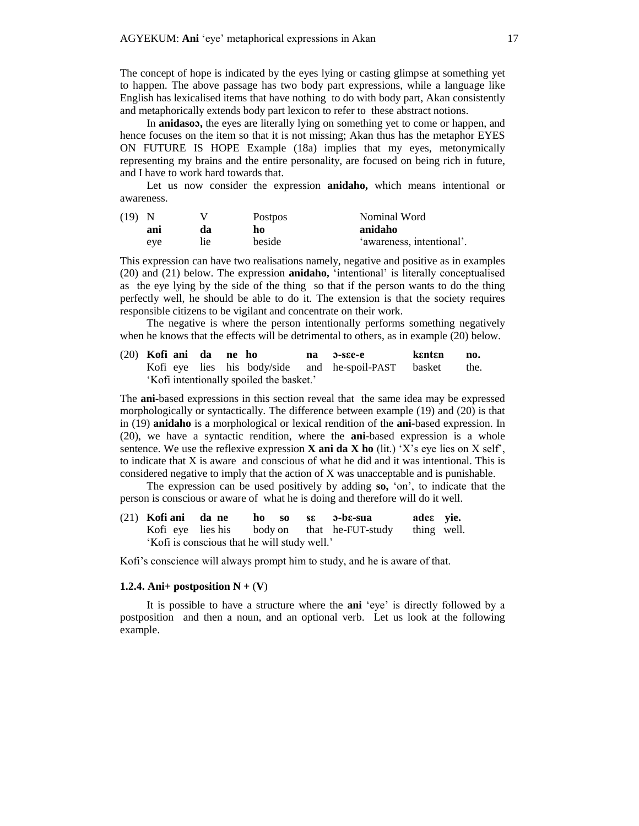The concept of hope is indicated by the eyes lying or casting glimpse at something yet to happen. The above passage has two body part expressions, while a language like English has lexicalised items that have nothing to do with body part, Akan consistently and metaphorically extends body part lexicon to refer to these abstract notions.

In **anidaso,** the eyes are literally lying on something yet to come or happen, and hence focuses on the item so that it is not missing; Akan thus has the metaphor EYES ON FUTURE IS HOPE Example (18a) implies that my eyes, metonymically representing my brains and the entire personality, are focused on being rich in future, and I have to work hard towards that.

Let us now consider the expression **anidaho,** which means intentional or awareness.

| $(19)$ N |     |     | <b>Postpos</b> | Nominal Word              |
|----------|-----|-----|----------------|---------------------------|
|          | ani | da  | ho             | anidaho                   |
|          | eye | lie | beside         | 'awareness, intentional'. |

This expression can have two realisations namely, negative and positive as in examples (20) and (21) below. The expression **anidaho,** 'intentional' is literally conceptualised as the eye lying by the side of the thing so that if the person wants to do the thing perfectly well, he should be able to do it. The extension is that the society requires responsible citizens to be vigilant and concentrate on their work.

The negative is where the person intentionally performs something negatively when he knows that the effects will be detrimental to others, as in example (20) below.

(20) **Kofi ani da ne ho na -sεe-e kεntεn no.** Kofi eye lies his body/side and he-spoil-PAST basket the. 'Kofi intentionally spoiled the basket.'

The **ani-**based expressions in this section reveal that the same idea may be expressed morphologically or syntactically. The difference between example (19) and (20) is that in (19) **anidaho** is a morphological or lexical rendition of the **ani-**based expression. In (20), we have a syntactic rendition, where the **ani-**based expression is a whole sentence. We use the reflexive expression **X ani da X ho** (lit.) 'X's eye lies on X self', to indicate that X is aware and conscious of what he did and it was intentional. This is considered negative to imply that the action of X was unacceptable and is punishable.

The expression can be used positively by adding **so,** 'on', to indicate that the person is conscious or aware of what he is doing and therefore will do it well.

(21) **Kofi ani da ne ho so sε -bε-sua adeε yie.** Kofi eye lies his body on that he-FUT-study thing well. 'Kofi is conscious that he will study well.'

Kofi's conscience will always prompt him to study, and he is aware of that.

### **1.2.4.** Ani+ postposition  $N + (V)$

It is possible to have a structure where the **ani** 'eye' is directly followed by a postposition and then a noun, and an optional verb. Let us look at the following example.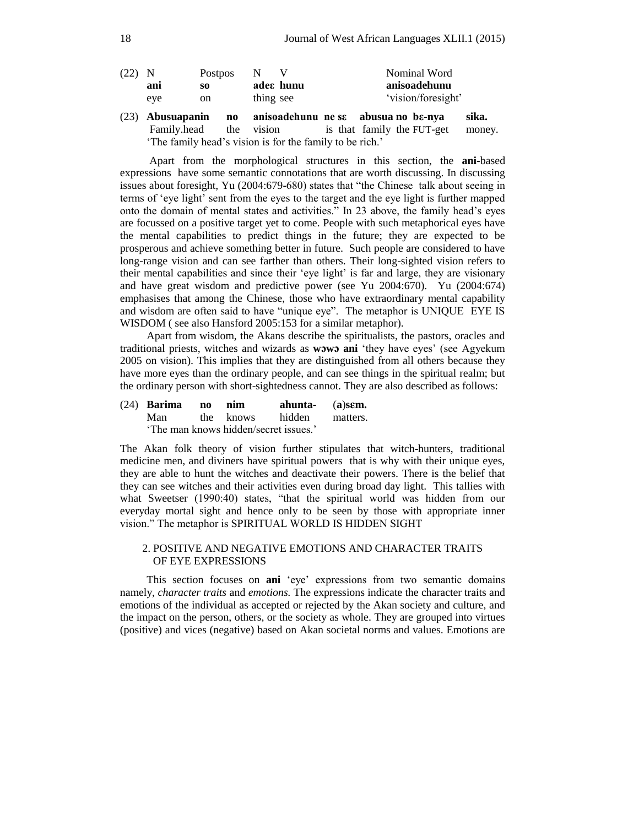| $(22)$ N |     | <b>Postpos</b> |           | Nominal Word       |
|----------|-----|----------------|-----------|--------------------|
|          | ani | SO.            | ades hunu | anisoadehunu       |
|          | eye | on             | thing see | 'vision/foresight' |

(23) **Abusuapanin no anisoadehunu ne sε abusua no bε-nya sika.** Family.head the vision is that family the FUT-get money. 'The family head's vision is for the family to be rich.'

Apart from the morphological structures in this section, the **ani-**based expressions have some semantic connotations that are worth discussing. In discussing issues about foresight, Yu (2004:679-680) states that "the Chinese talk about seeing in terms of 'eye light' sent from the eyes to the target and the eye light is further mapped onto the domain of mental states and activities." In 23 above, the family head's eyes are focussed on a positive target yet to come. People with such metaphorical eyes have the mental capabilities to predict things in the future; they are expected to be prosperous and achieve something better in future. Such people are considered to have long-range vision and can see farther than others. Their long-sighted vision refers to their mental capabilities and since their 'eye light' is far and large, they are visionary and have great wisdom and predictive power (see Yu 2004:670). Yu (2004:674) emphasises that among the Chinese, those who have extraordinary mental capability and wisdom are often said to have "unique eye". The metaphor is UNIQUE EYE IS WISDOM ( see also Hansford 2005:153 for a similar metaphor).

Apart from wisdom, the Akans describe the spiritualists, the pastors, oracles and traditional priests, witches and wizards as **ww ani** 'they have eyes' (see Agyekum 2005 on vision). This implies that they are distinguished from all others because they have more eyes than the ordinary people, and can see things in the spiritual realm; but the ordinary person with short-sightedness cannot. They are also described as follows:

## (24) **Barima no nim ahunta-** (**a**)**sm.**  Man the knows hidden matters. 'The man knows hidden/secret issues.'

The Akan folk theory of vision further stipulates that witch-hunters, traditional medicine men, and diviners have spiritual powers that is why with their unique eyes, they are able to hunt the witches and deactivate their powers. There is the belief that they can see witches and their activities even during broad day light. This tallies with what Sweetser (1990:40) states, "that the spiritual world was hidden from our everyday mortal sight and hence only to be seen by those with appropriate inner vision." The metaphor is SPIRITUAL WORLD IS HIDDEN SIGHT

# 2. POSITIVE AND NEGATIVE EMOTIONS AND CHARACTER TRAITS OF EYE EXPRESSIONS

This section focuses on **ani** 'eye' expressions from two semantic domains namely, *character traits* and *emotions.* The expressions indicate the character traits and emotions of the individual as accepted or rejected by the Akan society and culture, and the impact on the person, others, or the society as whole. They are grouped into virtues (positive) and vices (negative) based on Akan societal norms and values. Emotions are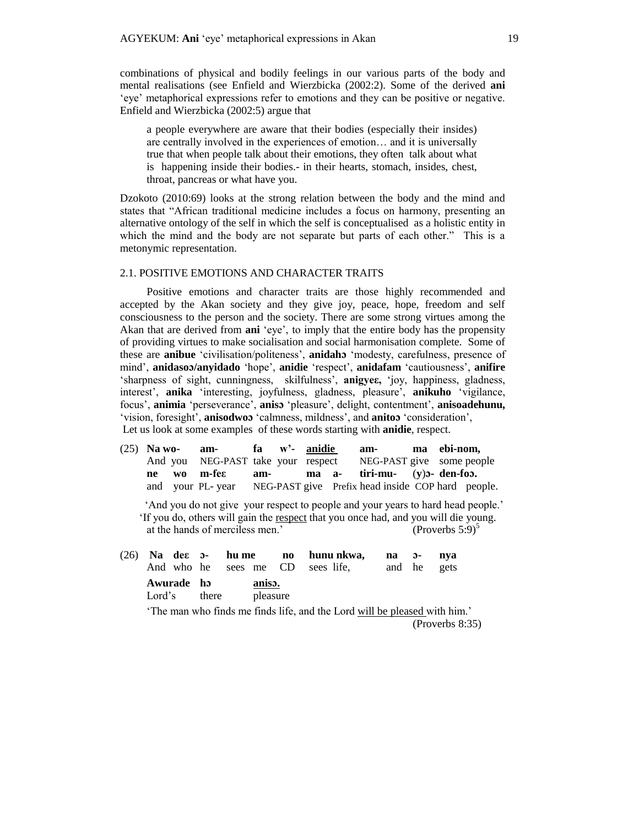combinations of physical and bodily feelings in our various parts of the body and mental realisations (see Enfield and Wierzbicka (2002:2). Some of the derived **ani**  'eye' metaphorical expressions refer to emotions and they can be positive or negative. Enfield and Wierzbicka (2002:5) argue that

a people everywhere are aware that their bodies (especially their insides) are centrally involved in the experiences of emotion… and it is universally true that when people talk about their emotions, they often talk about what is happening inside their bodies.- in their hearts, stomach, insides, chest, throat, pancreas or what have you.

Dzokoto (2010:69) looks at the strong relation between the body and the mind and states that "African traditional medicine includes a focus on harmony, presenting an alternative ontology of the self in which the self is conceptualised as a holistic entity in which the mind and the body are not separate but parts of each other." This is a metonymic representation.

## 2.1. POSITIVE EMOTIONS AND CHARACTER TRAITS

Positive emotions and character traits are those highly recommended and accepted by the Akan society and they give joy, peace, hope, freedom and self consciousness to the person and the society. There are some strong virtues among the Akan that are derived from **ani** 'eye', to imply that the entire body has the propensity of providing virtues to make socialisation and social harmonisation complete. Some of these are **anibue** 'civilisation/politeness', **anidah** 'modesty, carefulness, presence of mind', **anidaso/anyidado** 'hope', **anidie** 'respect', **anidafam** 'cautiousness', **anifire** 'sharpness of sight, cunningness, skilfulness', **anigyeε,** 'joy, happiness, gladness, interest', **anika** 'interesting, joyfulness, gladness, pleasure', **anikuho** 'vigilance, focus', **animia** 'perseverance', **anis** 'pleasure', delight, contentment', **anisoadehunu,** 'vision, foresight', **anisodwo** 'calmness, mildness', and **anito** 'consideration', Let us look at some examples of these words starting with **anidie**, respect.

|  | $(25)$ Na wo- am- fa w'- anidie                                    |  |  | am- ma ebi-nom. |  |  |
|--|--------------------------------------------------------------------|--|--|-----------------|--|--|
|  | And you NEG-PAST take your respect NEG-PAST give some people       |  |  |                 |  |  |
|  | ne wo m-fe $\varepsilon$ am- ma a- tiri-mu- $(y)$ den-foo.         |  |  |                 |  |  |
|  | and your PL-year NEG-PAST give Prefix head inside COP hard people. |  |  |                 |  |  |

 'And you do not give your respect to people and your years to hard head people.' 'If you do, others will gain the respect that you once had, and you will die young. at the hands of merciless men.' (Proverbs  $5:9$ )<sup>5</sup>

|        |            |       |                    | (26) Na des 5- hume no hununkwa, na 5- nya |             |  |  |
|--------|------------|-------|--------------------|--------------------------------------------|-------------|--|--|
|        |            |       |                    | And who he sees me CD sees life,           | and he gets |  |  |
| Lord's | Awurade ho | there | aniso.<br>pleasure |                                            |             |  |  |

'The man who finds me finds life, and the Lord will be pleased with him.' (Proverbs 8:35)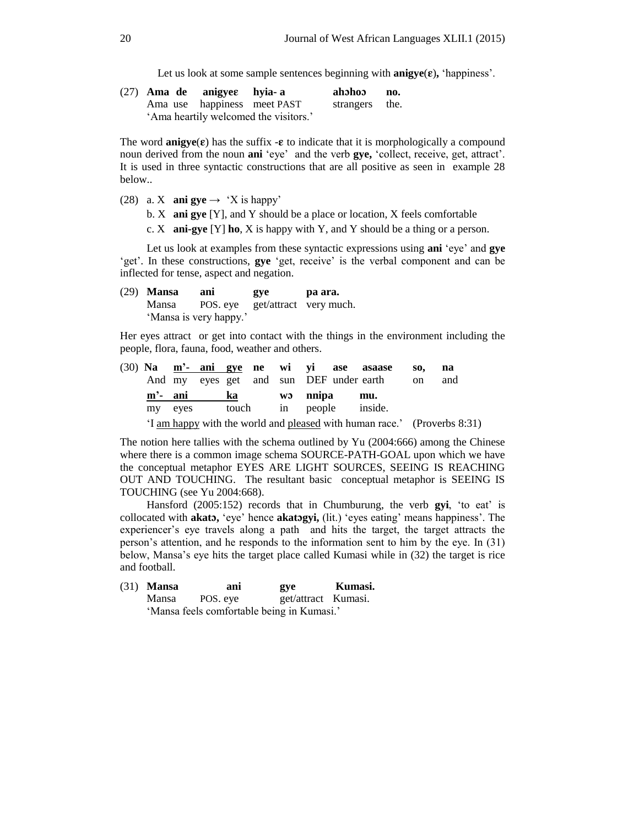Let us look at some sample sentences beginning with  $\text{anigye}(\varepsilon)$ , 'happiness'.

|  | $(27)$ Ama de anigyes hyia-a |                                       | ahohoo no.     |  |
|--|------------------------------|---------------------------------------|----------------|--|
|  |                              | Ama use happiness meet PAST           | strangers the. |  |
|  |                              | 'Ama heartily welcomed the visitors.' |                |  |

The word **anigye**( $\varepsilon$ ) has the suffix  $-\varepsilon$  to indicate that it is morphologically a compound noun derived from the noun **ani** 'eye' and the verb **gye,** 'collect, receive, get, attract'. It is used in three syntactic constructions that are all positive as seen in example 28 below..

(28) a. X **ani gye**  $\rightarrow$  'X is happy'

b. X **ani gye** [Y], and Y should be a place or location, X feels comfortable

c. X **ani-gye** [Y] **ho**, X is happy with Y, and Y should be a thing or a person.

Let us look at examples from these syntactic expressions using **ani** 'eye' and **gye** 'get'. In these constructions, **gye** 'get, receive' is the verbal component and can be inflected for tense, aspect and negation.

(29) **Mansa ani gye pa ara.** Mansa POS. eye get/attract very much. 'Mansa is very happy.'

Her eyes attract or get into contact with the things in the environment including the people, flora, fauna, food, weather and others.

|            |         |    |  |         | (30) Na m'- ani gye ne wi yi ase asaase                                  | SO <sub>2</sub> | na  |
|------------|---------|----|--|---------|--------------------------------------------------------------------------|-----------------|-----|
|            |         |    |  |         | And my eyes get and sun DEF under earth                                  | <sub>on</sub>   | and |
| $m'$ - ani |         | ka |  | w nnipa | mu.                                                                      |                 |     |
|            | my eves |    |  |         | touch in people inside.                                                  |                 |     |
|            |         |    |  |         | 'I am happy with the world and pleased with human race.' (Proverbs 8:31) |                 |     |

The notion here tallies with the schema outlined by Yu (2004:666) among the Chinese where there is a common image schema SOURCE-PATH-GOAL upon which we have the conceptual metaphor EYES ARE LIGHT SOURCES, SEEING IS REACHING OUT AND TOUCHING. The resultant basic conceptual metaphor is SEEING IS TOUCHING (see Yu 2004:668).

Hansford (2005:152) records that in Chumburung, the verb **gyi**, 'to eat' is collocated with **akat,** 'eye' hence **akatgyi,** (lit.) 'eyes eating' means happiness'. The experiencer's eye travels along a path and hits the target, the target attracts the person's attention, and he responds to the information sent to him by the eye. In (31) below, Mansa's eye hits the target place called Kumasi while in (32) the target is rice and football.

| $(31)$ Mansa | ani                                        | gye                 | Kumasi. |
|--------------|--------------------------------------------|---------------------|---------|
|              | Mansa POS. eye                             | get/attract Kumasi. |         |
|              | 'Mansa feels comfortable being in Kumasi.' |                     |         |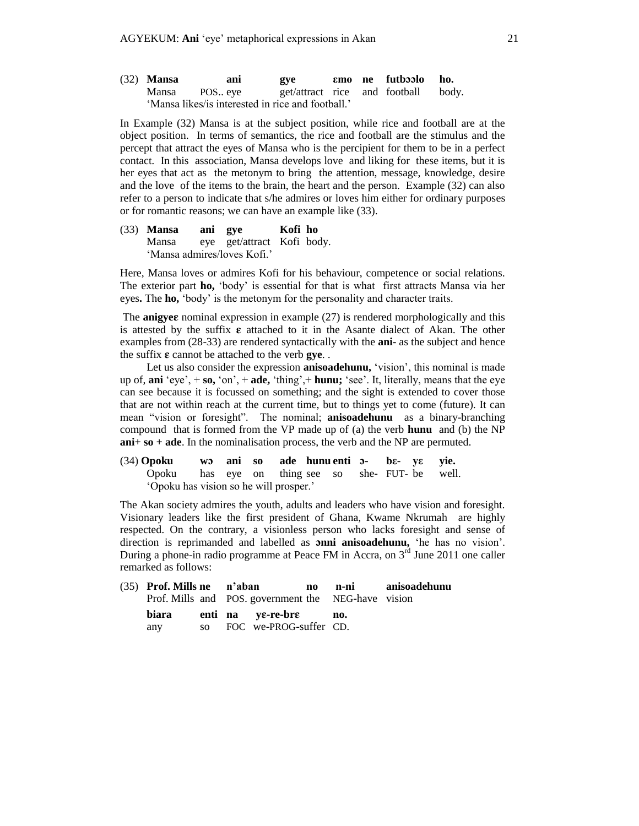| $(32)$ Mansa | ani                                               | gye                           |  | emo ne futboolo | ho.   |
|--------------|---------------------------------------------------|-------------------------------|--|-----------------|-------|
| Mansa        | POS eye                                           | get/attract rice and football |  |                 | body. |
|              | 'Mansa likes/is interested in rice and football.' |                               |  |                 |       |

In Example (32) Mansa is at the subject position, while rice and football are at the object position. In terms of semantics, the rice and football are the stimulus and the percept that attract the eyes of Mansa who is the percipient for them to be in a perfect contact. In this association, Mansa develops love and liking for these items, but it is her eyes that act as the metonym to bring the attention, message, knowledge, desire and the love of the items to the brain, the heart and the person. Example (32) can also refer to a person to indicate that s/he admires or loves him either for ordinary purposes or for romantic reasons; we can have an example like (33).

(33) **Mansa ani gye Kofi ho** Mansa eye get/attract Kofi body. 'Mansa admires/loves Kofi.'

Here, Mansa loves or admires Kofi for his behaviour, competence or social relations. The exterior part **ho,** 'body' is essential for that is what first attracts Mansa via her eyes**.** The **ho,** 'body' is the metonym for the personality and character traits.

The **anigye** nominal expression in example (27) is rendered morphologically and this is attested by the suffix  $\varepsilon$  attached to it in the Asante dialect of Akan. The other examples from (28-33) are rendered syntactically with the **ani-** as the subject and hence the suffix  $\varepsilon$  cannot be attached to the verb **gye**.

Let us also consider the expression **anisoadehunu,** 'vision', this nominal is made up of, **ani** 'eye', + **so,** 'on', + **ade,** 'thing',+ **hunu;** 'see'. It, literally, means that the eye can see because it is focussed on something; and the sight is extended to cover those that are not within reach at the current time, but to things yet to come (future). It can mean "vision or foresight". The nominal; **anisoadehunu** as a binary-branching compound that is formed from the VP made up of (a) the verb **hunu** and (b) the NP **ani+ so + ade**. In the nominalisation process, the verb and the NP are permuted.

(34) **Opoku w ani so ade hunu enti - bε- yε yie.** Opoku has eye on thing see so she- FUT- be well. 'Opoku has vision so he will prosper.'

The Akan society admires the youth, adults and leaders who have vision and foresight. Visionary leaders like the first president of Ghana, Kwame Nkrumah are highly respected. On the contrary, a visionless person who lacks foresight and sense of direction is reprimanded and labelled as **nni anisoadehunu,** 'he has no vision'. During a phone-in radio programme at Peace FM in Accra, on  $3<sup>rd</sup>$  June 2011 one caller remarked as follows:

|       |  |                                                     |  | (35) Prof. Mills ne n'aban no n-ni anisoadehunu |
|-------|--|-----------------------------------------------------|--|-------------------------------------------------|
|       |  | Prof. Mills and POS. government the NEG-have vision |  |                                                 |
| biara |  | enti na ve-re-bre no.                               |  |                                                 |
| any   |  | so FOC we-PROG-suffer CD.                           |  |                                                 |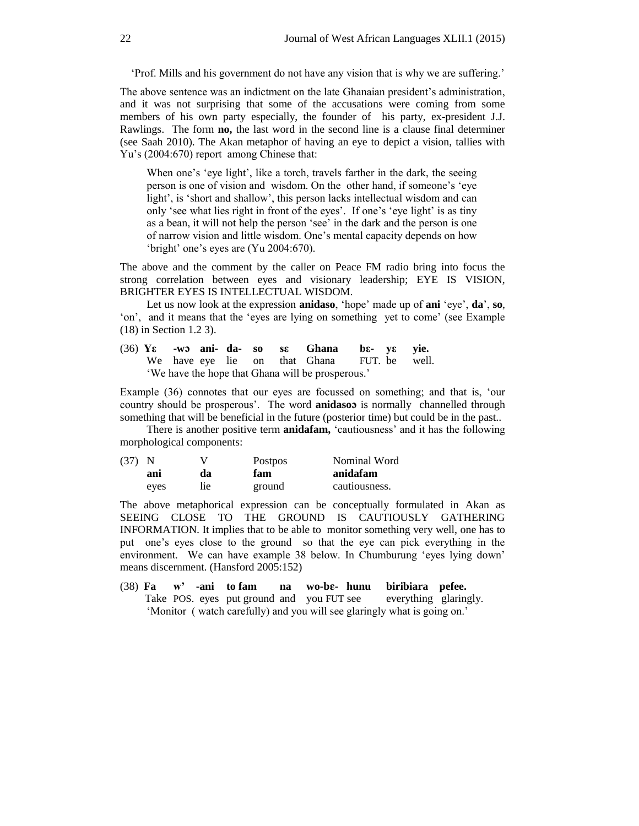'Prof. Mills and his government do not have any vision that is why we are suffering.'

The above sentence was an indictment on the late Ghanaian president's administration, and it was not surprising that some of the accusations were coming from some members of his own party especially, the founder of his party, ex-president J.J. Rawlings. The form **no,** the last word in the second line is a clause final determiner (see Saah 2010). The Akan metaphor of having an eye to depict a vision, tallies with Yu's (2004:670) report among Chinese that:

When one's 'eye light', like a torch, travels farther in the dark, the seeing person is one of vision and wisdom. On the other hand, if someone's 'eye light', is 'short and shallow', this person lacks intellectual wisdom and can only 'see what lies right in front of the eyes'. If one's 'eye light' is as tiny as a bean, it will not help the person 'see' in the dark and the person is one of narrow vision and little wisdom. One's mental capacity depends on how 'bright' one's eyes are (Yu 2004:670).

The above and the comment by the caller on Peace FM radio bring into focus the strong correlation between eyes and visionary leadership; EYE IS VISION, BRIGHTER EYES IS INTELLECTUAL WISDOM.

Let us now look at the expression **anidaso**, 'hope' made up of **ani** 'eye', **da**', **so**, 'on', and it means that the 'eyes are lying on something yet to come' (see Example (18) in Section 1.2 3).

(36) **Yε -w ani- da- so sε Ghana bε- yε yie.** We have eye lie on that Ghana FUT. be well. 'We have the hope that Ghana will be prosperous.'

Example (36) connotes that our eyes are focussed on something; and that is, 'our country should be prosperous'. The word **anidaso** is normally channelled through something that will be beneficial in the future (posterior time) but could be in the past..

There is another positive term **anidafam,** 'cautiousness' and it has the following morphological components:

| (37) N |      |     | <b>Postpos</b> | Nominal Word  |
|--------|------|-----|----------------|---------------|
|        | ani  | da  | fam            | anidafam      |
|        | eyes | lie | ground         | cautiousness. |

The above metaphorical expression can be conceptually formulated in Akan as SEEING CLOSE TO THE GROUND IS CAUTIOUSLY GATHERING INFORMATION. It implies that to be able to monitor something very well, one has to put one's eyes close to the ground so that the eye can pick everything in the environment. We can have example 38 below. In Chumburung 'eyes lying down' means discernment. (Hansford 2005:152)

(38) **Fa w' -ani to fam na wo-b- hunu biribiara pefee.** Take POS. eyes put ground and you FUT see everything glaringly. 'Monitor ( watch carefully) and you will see glaringly what is going on.'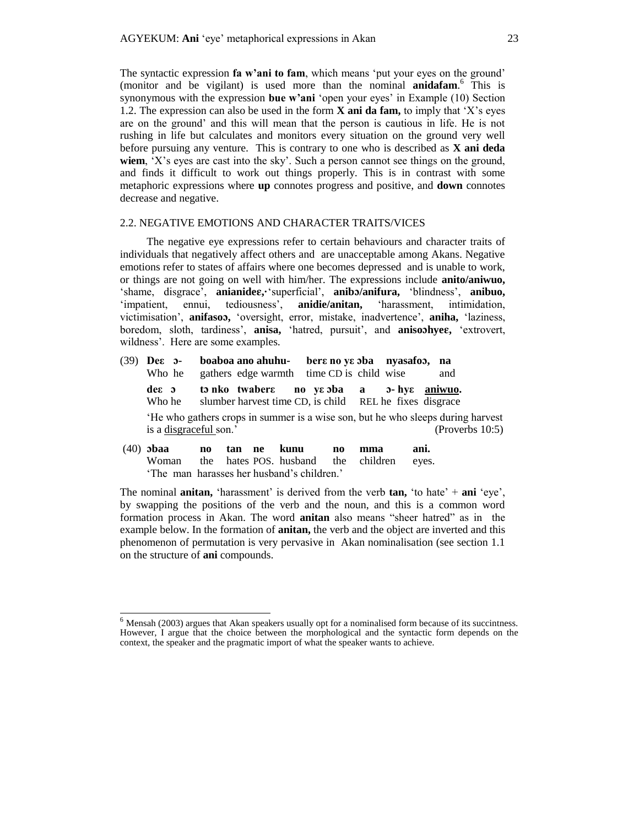The syntactic expression **fa w'ani to fam**, which means 'put your eyes on the ground' (monitor and be vigilant) is used more than the nominal **anidafam**. 6 This is synonymous with the expression **bue w'ani** 'open your eyes' in Example (10) Section 1.2. The expression can also be used in the form **X ani da fam,** to imply that 'X's eyes are on the ground' and this will mean that the person is cautious in life. He is not rushing in life but calculates and monitors every situation on the ground very well before pursuing any venture. This is contrary to one who is described as **X ani deda wiem**, 'X's eyes are cast into the sky'. Such a person cannot see things on the ground, and finds it difficult to work out things properly. This is in contrast with some metaphoric expressions where **up** connotes progress and positive, and **down** connotes decrease and negative.

## 2.2. NEGATIVE EMOTIONS AND CHARACTER TRAITS/VICES

The negative eye expressions refer to certain behaviours and character traits of individuals that negatively affect others and are unacceptable among Akans. Negative emotions refer to states of affairs where one becomes depressed and is unable to work, or things are not going on well with him/her. The expressions include **anito/aniwuo,** 'shame, disgrace', **anianide,·**'superficial', **anib/anifura,** 'blindness', **anibuo,** 'impatient, ennui, tediousness', **anidie/anitan,** 'harassment, intimidation, victimisation', **anifaso,** 'oversight, error, mistake, inadvertence', **aniha,** 'laziness, boredom, sloth, tardiness', **anisa,** 'hatred, pursuit', and **anisohye,** 'extrovert, wildness'. Here are some examples.

- (39) **Deε - boaboa ano ahuhu- berε no yε ba nyasafo, na**  Who he gathers edge warmth time CD is child wise and **deε t nko twaberε no yε ba a - hyε aniwuo.**  Who he slumber harvest time CD, is child REL he fixes disgrace 'He who gathers crops in summer is a wise son, but he who sleeps during harvest is a disgraceful son.' (Proverbs 10:5)
- (40) **baa no tan ne kunu no mma ani.**  Woman the hates POS. husband the children eyes. 'The man harasses her husband's children.'

 $\overline{\phantom{a}}$ 

The nominal **anitan,** 'harassment' is derived from the verb **tan,** 'to hate' + **ani** 'eye', by swapping the positions of the verb and the noun, and this is a common word formation process in Akan. The word **anitan** also means "sheer hatred" as in the example below. In the formation of **anitan,** the verb and the object are inverted and this phenomenon of permutation is very pervasive in Akan nominalisation (see section 1.1 on the structure of **ani** compounds.

<sup>6</sup> Mensah (2003) argues that Akan speakers usually opt for a nominalised form because of its succintness. However, I argue that the choice between the morphological and the syntactic form depends on the context, the speaker and the pragmatic import of what the speaker wants to achieve.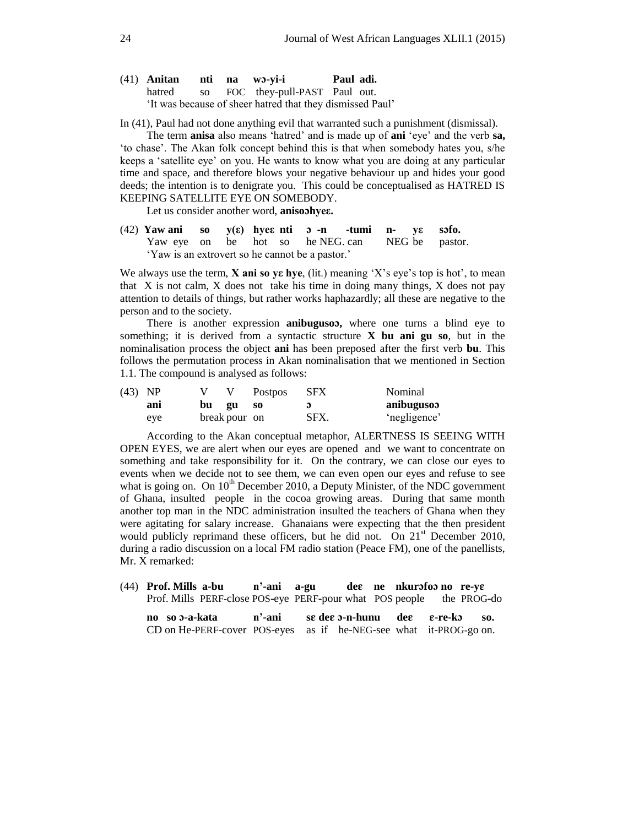|        |             | (41) Anitan nti na wo-yi-i                                | Paul adi. |  |
|--------|-------------|-----------------------------------------------------------|-----------|--|
| hatred | $SO \qquad$ | FOC they-pull-PAST Paul out.                              |           |  |
|        |             | 'It was because of sheer hatred that they dismissed Paul' |           |  |

In (41), Paul had not done anything evil that warranted such a punishment (dismissal).

The term **anisa** also means 'hatred' and is made up of **ani** 'eye' and the verb **sa,** 'to chase'. The Akan folk concept behind this is that when somebody hates you, s/he keeps a 'satellite eye' on you. He wants to know what you are doing at any particular time and space, and therefore blows your negative behaviour up and hides your good deeds; the intention is to denigrate you. This could be conceptualised as HATRED IS KEEPING SATELLITE EYE ON SOMEBODY.

Let us consider another word, **anisohyeε.**

(42) **Yaw ani so y(ε) hyeε nti -n -tumi n- yε sfo.** Yaw eye on be hot so he NEG can NEG be pastor. 'Yaw is an extrovert so he cannot be a pastor.'

We always use the term, **X** ani so ye hye, (lit.) meaning 'X's eye's top is hot', to mean that X is not calm, X does not take his time in doing many things, X does not pay attention to details of things, but rather works haphazardly; all these are negative to the person and to the society.

There is another expression **anibuguso,** where one turns a blind eye to something; it is derived from a syntactic structure **X bu ani gu so**, but in the nominalisation process the object **ani** has been preposed after the first verb **bu**. This follows the permutation process in Akan nominalisation that we mentioned in Section 1.1. The compound is analysed as follows:

| (43) NP |     |    |               | <b>Postpos</b> | <b>SFX</b> | Nominal      |
|---------|-----|----|---------------|----------------|------------|--------------|
|         | ani | bu | __ gu         | <b>SO</b>      |            | anibugusoo   |
|         | eye |    | break pour on |                | SFX.       | 'negligence' |

According to the Akan conceptual metaphor, ALERTNESS IS SEEING WITH OPEN EYES, we are alert when our eyes are opened and we want to concentrate on something and take responsibility for it. On the contrary, we can close our eyes to events when we decide not to see them, we can even open our eyes and refuse to see what is going on. On  $10^{th}$  December 2010, a Deputy Minister, of the NDC government of Ghana, insulted people in the cocoa growing areas. During that same month another top man in the NDC administration insulted the teachers of Ghana when they were agitating for salary increase. Ghanaians were expecting that the then president would publicly reprimand these officers, but he did not. On  $21<sup>st</sup>$  December 2010, during a radio discussion on a local FM radio station (Peace FM), one of the panellists, Mr. X remarked:

(44) **Prof. Mills a-bu n'-ani a-gu de ne nkurfo no re-y** Prof. Mills PERF-close POS-eye PERF-pour what POS people the PROG-do **no so -a-kata n'-ani s de -n-hunu de -re-k so.** CD on He-PERF-cover POS-eyes as if he-NEG-see what it-PROG-go on.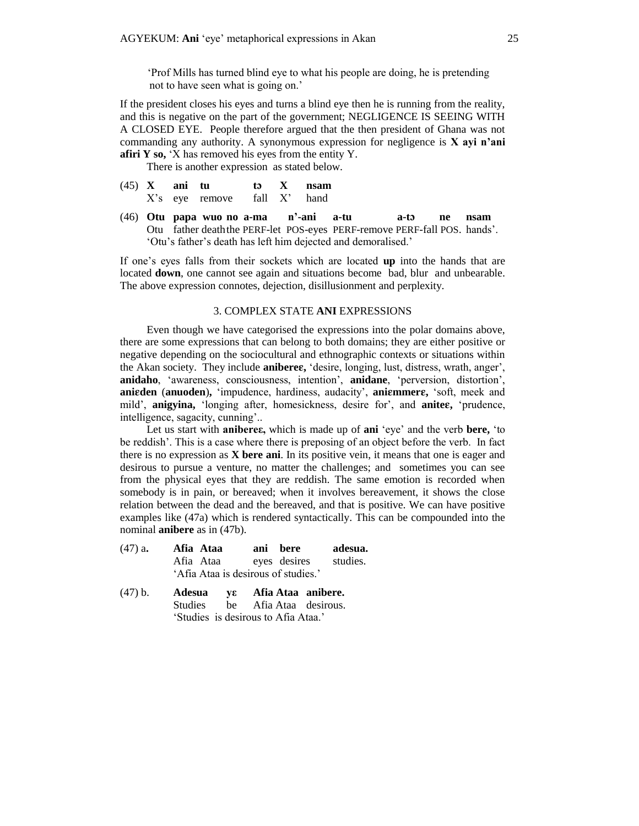'Prof Mills has turned blind eye to what his people are doing, he is pretending not to have seen what is going on.'

If the president closes his eyes and turns a blind eye then he is running from the reality, and this is negative on the part of the government; NEGLIGENCE IS SEEING WITH A CLOSED EYE. People therefore argued that the then president of Ghana was not commanding any authority. A synonymous expression for negligence is **X ayi n'ani afiri Y so,** 'X has removed his eyes from the entity Y.

There is another expression as stated below.

- $(45)$  **X** ani **tu to X** nsam X's eye remove fall X' hand
- (46) Otu papa wuo no a-ma n'-ani a-tu a-to ne nsam Otu father deaththe PERF-let POS-eyes PERF-remove PERF-fall POS. hands'. 'Otu's father's death has left him dejected and demoralised.'

If one's eyes falls from their sockets which are located **up** into the hands that are located **down**, one cannot see again and situations become bad, blur and unbearable. The above expression connotes, dejection, disillusionment and perplexity.

#### 3. COMPLEX STATE **ANI** EXPRESSIONS

Even though we have categorised the expressions into the polar domains above, there are some expressions that can belong to both domains; they are either positive or negative depending on the sociocultural and ethnographic contexts or situations within the Akan society. They include **anibere,** 'desire, longing, lust, distress, wrath, anger', **anidaho**, 'awareness, consciousness, intention', **anidane**, 'perversion, distortion', **aniden** (**anuoden**)**,** 'impudence, hardiness, audacity', **animmer,** 'soft, meek and mild', **anigyina,** 'longing after, homesickness, desire for', and **anite,** 'prudence, intelligence, sagacity, cunning'..

Let us start with **anibereε,** which is made up of **ani** 'eye' and the verb **bere,** 'to be reddish'. This is a case where there is preposing of an object before the verb. In fact there is no expression as **X bere ani**. In its positive vein, it means that one is eager and desirous to pursue a venture, no matter the challenges; and sometimes you can see from the physical eyes that they are reddish. The same emotion is recorded when somebody is in pain, or bereaved; when it involves bereavement, it shows the close relation between the dead and the bereaved, and that is positive. We can have positive examples like (47a) which is rendered syntactically. This can be compounded into the nominal **anibere** as in (47b).

| $(47)$ a. | Afia Ataa                           | ani bere     | adesua.  |
|-----------|-------------------------------------|--------------|----------|
|           | Afia Ataa                           | eyes desires | studies. |
|           | 'Afia Ataa is desirous of studies.' |              |          |

| (47) b. |  | Adesua νε Afia Ataa anibere.        |  |
|---------|--|-------------------------------------|--|
|         |  | Studies be Afia Ataa desirous.      |  |
|         |  | 'Studies is desirous to Afia Ataa.' |  |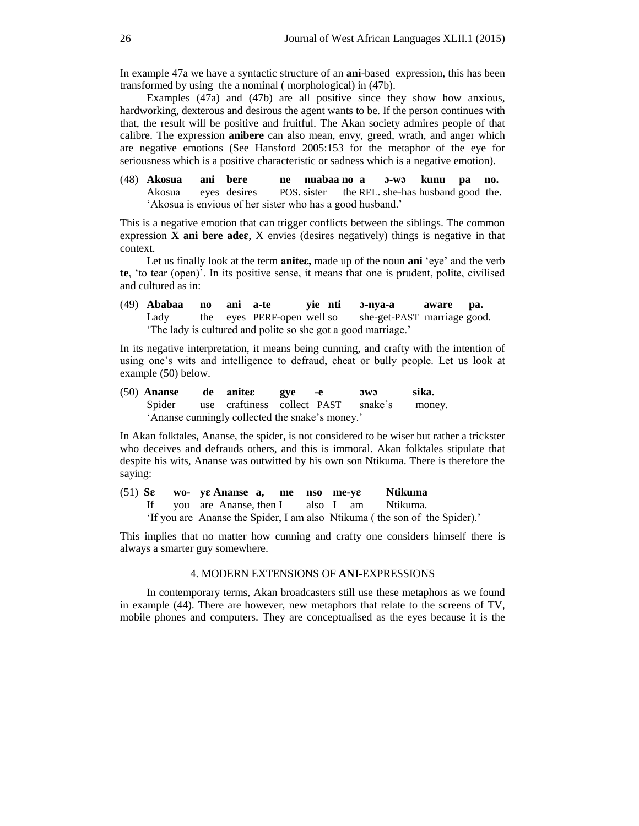In example 47a we have a syntactic structure of an **ani**-based expression, this has been transformed by using the a nominal ( morphological) in (47b).

Examples (47a) and (47b) are all positive since they show how anxious, hardworking, dexterous and desirous the agent wants to be. If the person continues with that, the result will be positive and fruitful. The Akan society admires people of that calibre. The expression **anibere** can also mean, envy, greed, wrath, and anger which are negative emotions (See Hansford 2005:153 for the metaphor of the eye for seriousness which is a positive characteristic or sadness which is a negative emotion).

(48) **Akosua ani bere ne nuabaa no a -w kunu pa no.** Akosua eyes desires POS. sister the REL. she-has husband good the. 'Akosua is envious of her sister who has a good husband.'

This is a negative emotion that can trigger conflicts between the siblings. The common expression **X ani bere ade**, X envies (desires negatively) things is negative in that context.

Let us finally look at the term **aniteε,** made up of the noun **ani** 'eye' and the verb **te**, 'to tear (open)'. In its positive sense, it means that one is prudent, polite, civilised and cultured as in:

(49) **Ababaa no ani a-te yie nti -nya-a aware pa.** Lady the eyes PERF-open well so she-get-PAST marriage good. 'The lady is cultured and polite so she got a good marriage.'

In its negative interpretation, it means being cunning, and crafty with the intention of using one's wits and intelligence to defraud, cheat or bully people. Let us look at example (50) below.

(50) **Ananse de aniteε gye -e w sika.** Spider use craftiness collect PAST snake's money. 'Ananse cunningly collected the snake's money.'

In Akan folktales, Ananse, the spider, is not considered to be wiser but rather a trickster who deceives and defrauds others, and this is immoral. Akan folktales stipulate that despite his wits, Ananse was outwitted by his own son Ntikuma. There is therefore the saying:

(51) **S wo- y Ananse a, me nso me-y Ntikuma** If you are Ananse, then I also I am Ntikuma. 'If you are Ananse the Spider, I am also Ntikuma ( the son of the Spider).'

This implies that no matter how cunning and crafty one considers himself there is always a smarter guy somewhere.

## 4. MODERN EXTENSIONS OF **ANI**-EXPRESSIONS

In contemporary terms, Akan broadcasters still use these metaphors as we found in example (44). There are however, new metaphors that relate to the screens of TV, mobile phones and computers. They are conceptualised as the eyes because it is the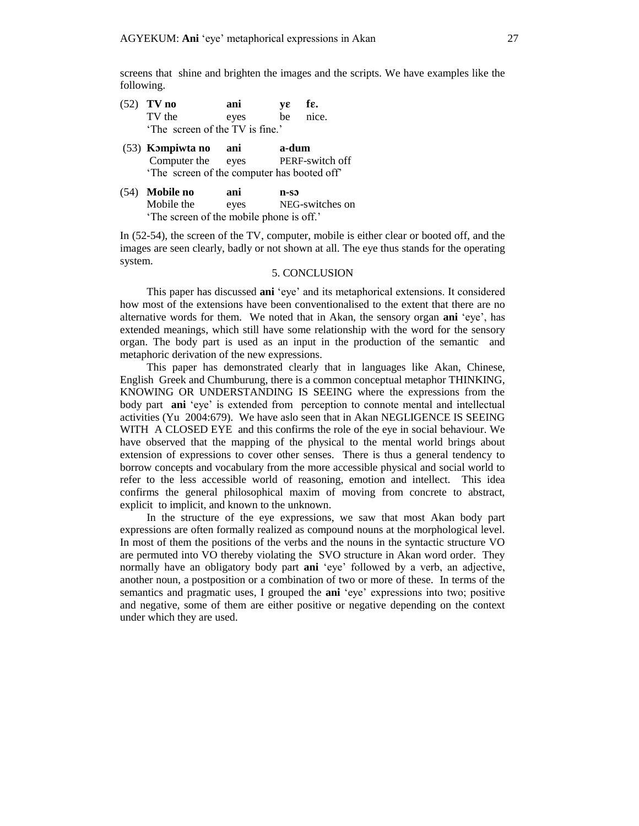screens that shine and brighten the images and the scripts. We have examples like the following.

- (52) **TV no** ani **y** $\varepsilon$  **f** $\varepsilon$ . TV the eyes be nice. 'The screen of the TV is fine.'
- (53) **Kmpiwta no ani a-dum** eyes PERF-switch off 'The screen of the computer has booted off'
- (54) **Mobile no ani n-s** Mobile the eyes NEG-switches on 'The screen of the mobile phone is off.'

In (52-54), the screen of the TV, computer, mobile is either clear or booted off, and the images are seen clearly, badly or not shown at all. The eye thus stands for the operating system.

### 5. CONCLUSION

This paper has discussed **ani** 'eye' and its metaphorical extensions. It considered how most of the extensions have been conventionalised to the extent that there are no alternative words for them. We noted that in Akan, the sensory organ **ani** 'eye', has extended meanings, which still have some relationship with the word for the sensory organ. The body part is used as an input in the production of the semantic and metaphoric derivation of the new expressions.

This paper has demonstrated clearly that in languages like Akan, Chinese, English Greek and Chumburung, there is a common conceptual metaphor THINKING, KNOWING OR UNDERSTANDING IS SEEING where the expressions from the body part **ani** 'eye' is extended from perception to connote mental and intellectual activities (Yu 2004:679). We have aslo seen that in Akan NEGLIGENCE IS SEEING WITH A CLOSED EYE and this confirms the role of the eye in social behaviour. We have observed that the mapping of the physical to the mental world brings about extension of expressions to cover other senses. There is thus a general tendency to borrow concepts and vocabulary from the more accessible physical and social world to refer to the less accessible world of reasoning, emotion and intellect. This idea confirms the general philosophical maxim of moving from concrete to abstract, explicit to implicit, and known to the unknown.

In the structure of the eye expressions, we saw that most Akan body part expressions are often formally realized as compound nouns at the morphological level. In most of them the positions of the verbs and the nouns in the syntactic structure VO are permuted into VO thereby violating the SVO structure in Akan word order. They normally have an obligatory body part **ani** 'eye' followed by a verb, an adjective, another noun, a postposition or a combination of two or more of these. In terms of the semantics and pragmatic uses, I grouped the **ani** 'eye' expressions into two; positive and negative, some of them are either positive or negative depending on the context under which they are used.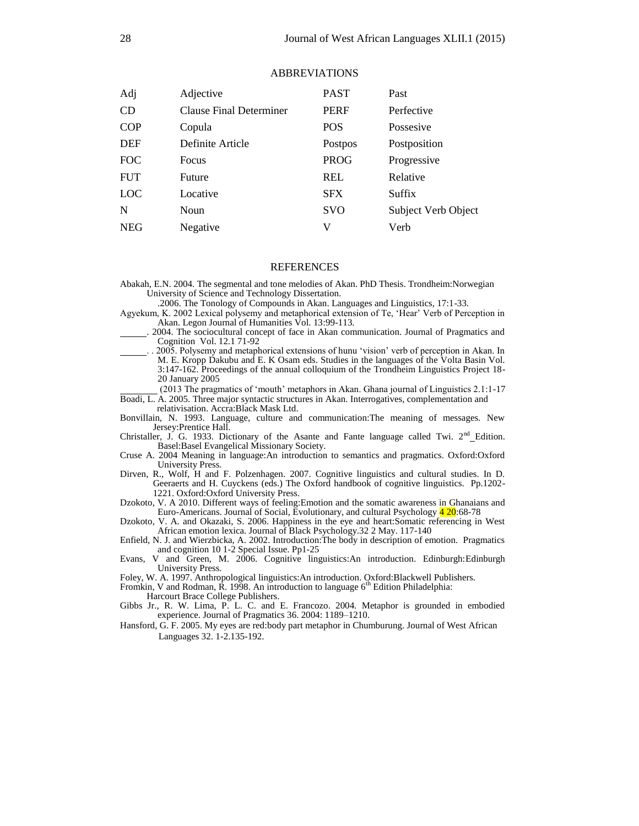| Adj        | Adjective               | <b>PAST</b> | Past                |
|------------|-------------------------|-------------|---------------------|
| <b>CD</b>  | Clause Final Determiner | <b>PERF</b> | Perfective          |
| COP        | Copula                  | <b>POS</b>  | Possesive           |
| <b>DEF</b> | Definite Article        | Postpos     | Postposition        |
| <b>FOC</b> | Focus                   | <b>PROG</b> | Progressive         |
| <b>FUT</b> | Future                  | <b>REL</b>  | Relative            |
| LOC        | Locative                | <b>SFX</b>  | <b>Suffix</b>       |
| N          | <b>Noun</b>             | <b>SVO</b>  | Subject Verb Object |
| <b>NEG</b> | Negative                | V           | Verb                |

#### ABBREVIATIONS

### REFERENCES

Abakah, E.N. 2004. The segmental and tone melodies of Akan. PhD Thesis. Trondheim:Norwegian University of Science and Technology Dissertation.

.2006. The Tonology of Compounds in Akan. Languages and Linguistics, 17:1-33.

Agyekum, K. 2002 Lexical polysemy and metaphorical extension of Te, 'Hear' Verb of Perception in Akan. Legon Journal of Humanities Vol. 13:99-113.

- . 2004. The sociocultural concept of face in Akan communication. Journal of Pragmatics and Cognition Vol. 12.1 71-92
- 2005. Polysemy and metaphorical extensions of hunu 'vision' verb of perception in Akan. In M. E. Kropp Dakubu and E. K Osam eds. Studies in the languages of the Volta Basin Vol. 3:147-162. Proceedings of the annual colloquium of the Trondheim Linguistics Project 18- 20 January 2005

(2013 The pragmatics of 'mouth' metaphors in Akan. Ghana journal of Linguistics 2.1:1-17 Boadi, L. A. 2005. Three major syntactic structures in Akan. Interrogatives, complementation and

relativisation. Accra:Black Mask Ltd.

Bonvillain, N. 1993. Language, culture and communication:The meaning of messages. New Jersey:Prentice Hall.

Christaller, J. G. 1933. Dictionary of the Asante and Fante language called Twi.  $2<sup>nd</sup>$  Edition. Basel:Basel Evangelical Missionary Society.

- Cruse A. 2004 Meaning in language:An introduction to semantics and pragmatics. Oxford:Oxford University Press.
- Dirven, R., Wolf, H and F. Polzenhagen. 2007. Cognitive linguistics and cultural studies. In D. Geeraerts and H. Cuyckens (eds.) The Oxford handbook of cognitive linguistics. Pp.1202- 1221. Oxford:Oxford University Press.

Dzokoto, V. A 2010. Different ways of feeling:Emotion and the somatic awareness in Ghanaians and Euro-Americans. Journal of Social, Evolutionary, and cultural Psychology 4 20:68-78

Dzokoto, V. A. and Okazaki, S. 2006. Happiness in the eye and heart:Somatic referencing in West African emotion lexica. Journal of Black Psychology.32 2 May. 117-140

- Enfield, N. J. and Wierzbicka, A. 2002. Introduction:The body in description of emotion. Pragmatics and cognition 10 1-2 Special Issue. Pp1-25
- Evans, V and Green, M. 2006. Cognitive linguistics:An introduction. Edinburgh:Edinburgh University Press.

Foley, W. A. 1997. Anthropological linguistics:An introduction. Oxford:Blackwell Publishers.

Fromkin, V and Rodman,  $\hat{R}$ . 1998. An introduction to language  $6<sup>th</sup>$  Edition Philadelphia: Harcourt Brace College Publishers.

Gibbs Jr., R. W. Lima, P. L. C. and E. Francozo. 2004. Metaphor is grounded in embodied experience. Journal of Pragmatics 36. 2004: 1189–1210.

Hansford, G. F. 2005. My eyes are red:body part metaphor in Chumburung. Journal of West African Languages 32. 1-2.135-192.